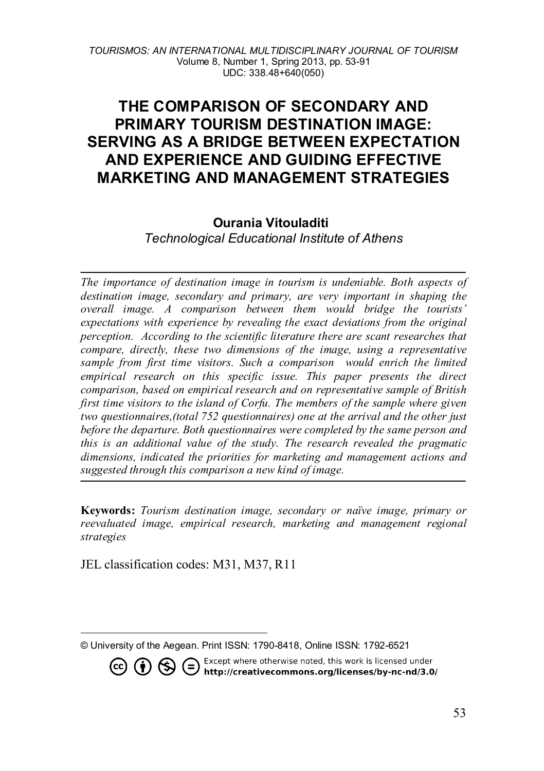# **THE COMPARISON OF SECONDARY AND PRIMARY TOURISM DESTINATION IMAGE: SERVING AS A BRIDGE BETWEEN EXPECTATION AND EXPERIENCE AND GUIDING EFFECTIVE MARKETING AND MANAGEMENT STRATEGIES**

## **Ourania Vitouladiti**

*Technological Educational Institute of Athens* 

*The importance of destination image in tourism is undeniable. Both aspects of destination image, secondary and primary, are very important in shaping the overall image. A comparison between them would bridge the tourists' expectations with experience by revealing the exact deviations from the original perception. According to the scientific literature there are scant researches that compare, directly, these two dimensions of the image, using a representative sample from first time visitors. Such a comparison would enrich the limited*  empirical research on this specific issue. This paper presents the direct *comparison, based on empirical research and on representative sample of British first time visitors to the island of Corfu. The members of the sample where given two questionnaires,(total 752 questionnaires) one at the arrival and the other just before the departure. Both questionnaires were completed by the same person and this is an additional value of the study. The research revealed the pragmatic dimensions, indicated the priorities for marketing and management actions and suggested through this comparison a new kind of image.*

**Keywords:** *Tourism destination image, secondary or naïve image, primary or reevaluated image, empirical research, marketing and management regional strategies*

JEL classification codes: M31, M37, R11

**CO (i)**  $\bigoplus$  **C** Except where otherwise noted, this work is licensed under **http://creativecommons.org/licenses/by-nc-nd/3.0/** 

<span id="page-0-0"></span>l © University of the Aegean. Print ISSN: 1790-8418, Online ISSN: 1792-6521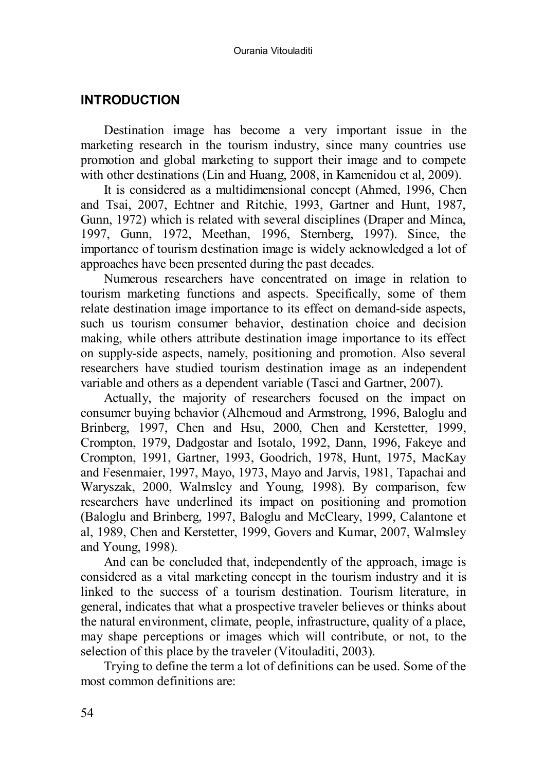## **INTRODUCTION**

Destination image has become a very important issue in the marketing research in the tourism industry, since many countries use promotion and global marketing to support their image and to compete with other destinations (Lin and Huang, 2008, in Kamenidou et al, 2009).

It is considered as a multidimensional concept (Ahmed, 1996, Chen and Tsai, 2007, Echtner and Ritchie, 1993, Gartner and Hunt, 1987, Gunn, 1972) which is related with several disciplines (Draper and Minca, 1997, Gunn, 1972, Meethan, 1996, Sternberg, 1997). Since, the importance of tourism destination image is widely acknowledged a lot of approaches have been presented during the past decades.

Numerous researchers have concentrated on image in relation to tourism marketing functions and aspects. Specifically, some of them relate destination image importance to its effect on demand-side aspects, such us tourism consumer behavior, destination choice and decision making, while others attribute destination image importance to its effect on supply-side aspects, namely, positioning and promotion. Also several researchers have studied tourism destination image as an independent variable and others as a dependent variable (Tasci and Gartner, 2007).

Actually, the majority of researchers focused on the impact on consumer buying behavior (Alhemoud and Armstrong, 1996, Baloglu and Brinberg, 1997, Chen and Hsu, 2000, Chen and Kerstetter, 1999, Crompton, 1979, Dadgostar and Isotalo, 1992, Dann, 1996, Fakeye and Crompton, 1991, Gartner, 1993, Goodrich, 1978, Hunt, 1975, MacKay and Fesenmaier, 1997, Mayo, 1973, Mayo and Jarvis, 1981, Tapachai and Waryszak, 2000, Walmsley and Young, 1998). By comparison, few researchers have underlined its impact on positioning and promotion (Baloglu and Brinberg, 1997, Baloglu and McCleary, 1999, Calantone et al, 1989, Chen and Kerstetter, 1999, Govers and Kumar, 2007, Walmsley and Young, 1998).

And can be concluded that, independently of the approach, image is considered as a vital marketing concept in the tourism industry and it is linked to the success of a tourism destination. Tourism literature, in general, indicates that what a prospective traveler believes or thinks about the natural environment, climate, people, infrastructure, quality of a place, may shape perceptions or images which will contribute, or not, to the selection of this place by the traveler (Vitouladiti, 2003).

Trying to define the term a lot of definitions can be used. Some of the most common definitions are: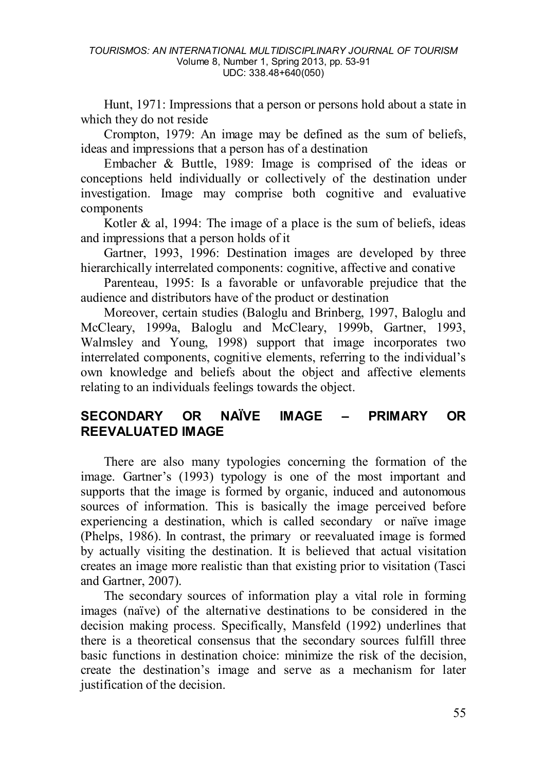Hunt, 1971: Impressions that a person or persons hold about a state in which they do not reside

Crompton, 1979: An image may be defined as the sum of beliefs, ideas and impressions that a person has of a destination

Embacher & Buttle, 1989: Image is comprised of the ideas or conceptions held individually or collectively of the destination under investigation. Image may comprise both cognitive and evaluative components

Kotler  $\&$  al, 1994: The image of a place is the sum of beliefs, ideas and impressions that a person holds of it

Gartner, 1993, 1996: Destination images are developed by three hierarchically interrelated components: cognitive, affective and conative

Parenteau, 1995: Is a favorable or unfavorable prejudice that the audience and distributors have of the product or destination

Moreover, certain studies (Baloglu and Brinberg, 1997, Baloglu and McCleary, 1999a, Baloglu and McCleary, 1999b, Gartner, 1993, Walmsley and Young, 1998) support that image incorporates two interrelated components, cognitive elements, referring to the individual's own knowledge and beliefs about the object and affective elements relating to an individuals feelings towards the object.

# **SECONDARY OR NAÏVE IMAGE – PRIMARY OR REEVALUATED IMAGE**

There are also many typologies concerning the formation of the image. Gartner's (1993) typology is one of the most important and supports that the image is formed by organic, induced and autonomous sources of information. This is basically the image perceived before experiencing a destination, which is called secondary or naïve image (Phelps, 1986). In contrast, the primary or reevaluated image is formed by actually visiting the destination. It is believed that actual visitation creates an image more realistic than that existing prior to visitation (Tasci and Gartner, 2007).

The secondary sources of information play a vital role in forming images (naïve) of the alternative destinations to be considered in the decision making process. Specifically, Mansfeld (1992) underlines that there is a theoretical consensus that the secondary sources fulfill three basic functions in destination choice: minimize the risk of the decision, create the destination's image and serve as a mechanism for later justification of the decision.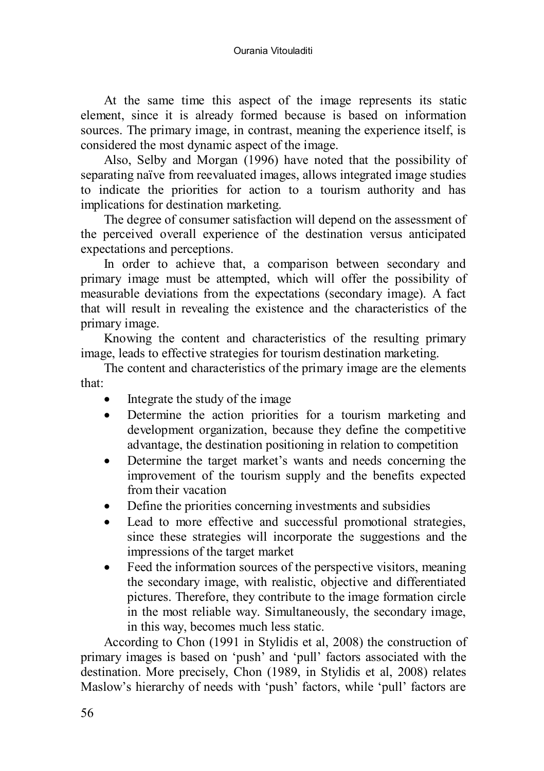At the same time this aspect of the image represents its static element, since it is already formed because is based on information sources. The primary image, in contrast, meaning the experience itself, is considered the most dynamic aspect of the image.

Also, Selby and Morgan (1996) have noted that the possibility of separating naïve from reevaluated images, allows integrated image studies to indicate the priorities for action to a tourism authority and has implications for destination marketing.

The degree of consumer satisfaction will depend on the assessment of the perceived overall experience of the destination versus anticipated expectations and perceptions.

In order to achieve that, a comparison between secondary and primary image must be attempted, which will offer the possibility of measurable deviations from the expectations (secondary image). A fact that will result in revealing the existence and the characteristics of the primary image.

Knowing the content and characteristics of the resulting primary image, leads to effective strategies for tourism destination marketing.

The content and characteristics of the primary image are the elements that:

- Integrate the study of the image
- Determine the action priorities for a tourism marketing and development organization, because they define the competitive advantage, the destination positioning in relation to competition
- Determine the target market's wants and needs concerning the improvement of the tourism supply and the benefits expected from their vacation
- Define the priorities concerning investments and subsidies
- Lead to more effective and successful promotional strategies, since these strategies will incorporate the suggestions and the impressions of the target market
- Feed the information sources of the perspective visitors, meaning the secondary image, with realistic, objective and differentiated pictures. Therefore, they contribute to the image formation circle in the most reliable way. Simultaneously, the secondary image, in this way, becomes much less static.

According to Chon (1991 in Stylidis et al, 2008) the construction of primary images is based on 'push' and 'pull' factors associated with the destination. More precisely, Chon (1989, in Stylidis et al, 2008) relates Maslow's hierarchy of needs with 'push' factors, while 'pull' factors are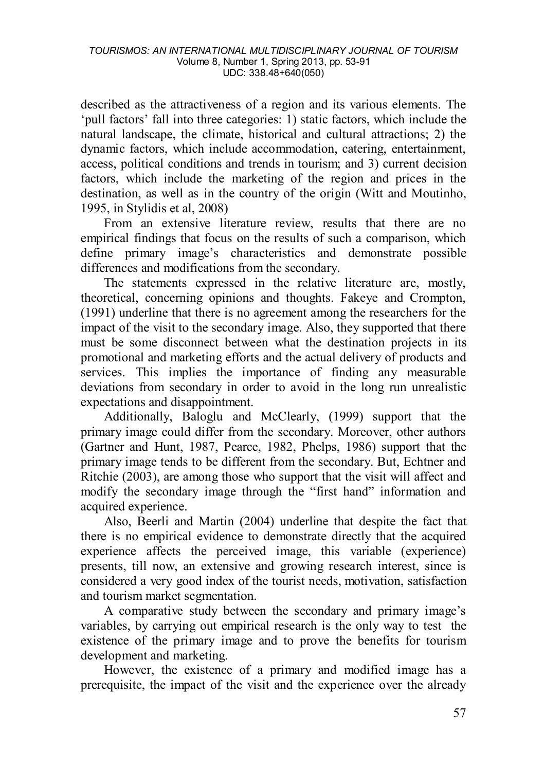described as the attractiveness of a region and its various elements. The 'pull factors' fall into three categories: 1) static factors, which include the natural landscape, the climate, historical and cultural attractions; 2) the dynamic factors, which include accommodation, catering, entertainment, access, political conditions and trends in tourism; and 3) current decision factors, which include the marketing of the region and prices in the destination, as well as in the country of the origin (Witt and Moutinho, 1995, in Stylidis et al, 2008)

From an extensive literature review, results that there are no empirical findings that focus on the results of such a comparison, which define primary image's characteristics and demonstrate possible differences and modifications from the secondary.

The statements expressed in the relative literature are, mostly, theoretical, concerning opinions and thoughts. Fakeye and Crompton, (1991) underline that there is no agreement among the researchers for the impact of the visit to the secondary image. Also, they supported that there must be some disconnect between what the destination projects in its promotional and marketing efforts and the actual delivery of products and services. This implies the importance of finding any measurable deviations from secondary in order to avoid in the long run unrealistic expectations and disappointment.

Additionally, Baloglu and McClearly, (1999) support that the primary image could differ from the secondary. Moreover, other authors (Gartner and Hunt, 1987, Pearce, 1982, Phelps, 1986) support that the primary image tends to be different from the secondary. But, Echtner and Ritchie (2003), are among those who support that the visit will affect and modify the secondary image through the "first hand" information and acquired experience.

Also, Beerli and Martin (2004) underline that despite the fact that there is no empirical evidence to demonstrate directly that the acquired experience affects the perceived image, this variable (experience) presents, till now, an extensive and growing research interest, since is considered a very good index of the tourist needs, motivation, satisfaction and tourism market segmentation.

A comparative study between the secondary and primary image's variables, by carrying out empirical research is the only way to test the existence of the primary image and to prove the benefits for tourism development and marketing.

However, the existence of a primary and modified image has a prerequisite, the impact of the visit and the experience over the already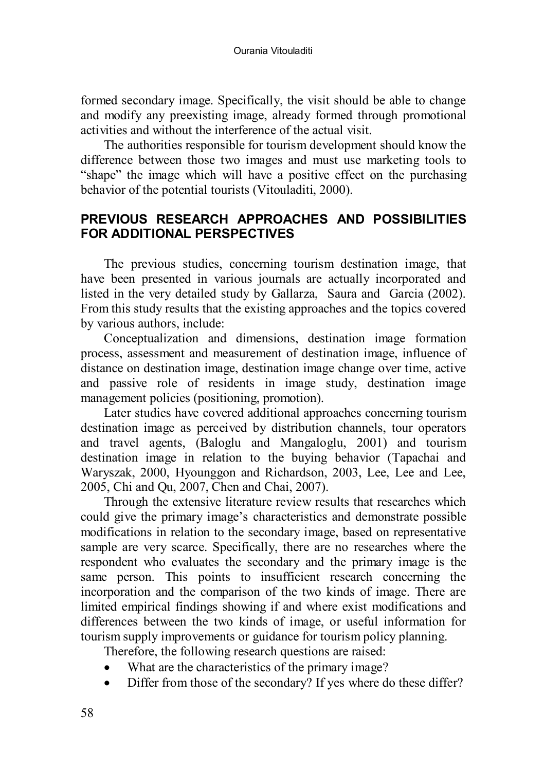formed secondary image. Specifically, the visit should be able to change and modify any preexisting image, already formed through promotional activities and without the interference of the actual visit.

The authorities responsible for tourism development should know the difference between those two images and must use marketing tools to "shape" the image which will have a positive effect on the purchasing behavior of the potential tourists (Vitouladiti, 2000).

# **PREVIOUS RESEARCH APPROACHES AND POSSIBILITIES FOR ADDITIONAL PERSPECTIVES**

The previous studies, concerning tourism destination image, that have been presented in various journals are actually incorporated and listed in the very detailed study by Gallarza, Saura and Garcia (2002). From this study results that the existing approaches and the topics covered by various authors, include:

Conceptualization and dimensions, destination image formation process, assessment and measurement of destination image, influence of distance on destination image, destination image change over time, active and passive role of residents in image study, destination image management policies (positioning, promotion).

Later studies have covered additional approaches concerning tourism destination image as perceived by distribution channels, tour operators and travel agents, (Baloglu and Mangaloglu, 2001) and tourism destination image in relation to the buying behavior (Tapachai and Waryszak, 2000, Hyounggon and Richardson, 2003, Lee, Lee and Lee, 2005, Chi and Qu, 2007, Chen and Chai, 2007).

Through the extensive literature review results that researches which could give the primary image's characteristics and demonstrate possible modifications in relation to the secondary image, based on representative sample are very scarce. Specifically, there are no researches where the respondent who evaluates the secondary and the primary image is the same person. This points to insufficient research concerning the incorporation and the comparison of the two kinds of image. There are limited empirical findings showing if and where exist modifications and differences between the two kinds of image, or useful information for tourism supply improvements or guidance for tourism policy planning.

Therefore, the following research questions are raised:

- What are the characteristics of the primary image?
- Differ from those of the secondary? If yes where do these differ?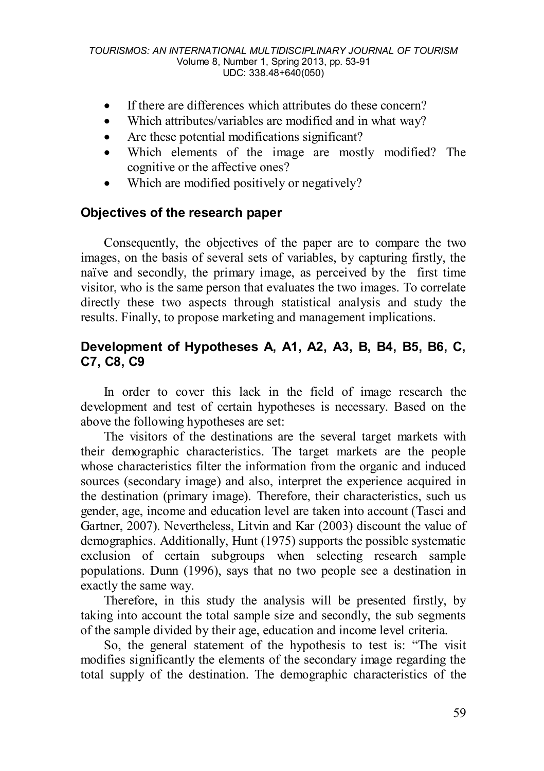- If there are differences which attributes do these concern?
- Which attributes/variables are modified and in what way?
- Are these potential modifications significant?
- Which elements of the image are mostly modified? The cognitive or the affective ones?
- Which are modified positively or negatively?

# **Objectives of the research paper**

Consequently, the objectives of the paper are to compare the two images, on the basis of several sets of variables, by capturing firstly, the naïve and secondly, the primary image, as perceived by the first time visitor, who is the same person that evaluates the two images. To correlate directly these two aspects through statistical analysis and study the results. Finally, to propose marketing and management implications.

# **Development of Hypotheses A, A1, A2, A3, B, B4, B5, B6, C, C7, C8, C9**

In order to cover this lack in the field of image research the development and test of certain hypotheses is necessary. Based on the above the following hypotheses are set:

The visitors of the destinations are the several target markets with their demographic characteristics. The target markets are the people whose characteristics filter the information from the organic and induced sources (secondary image) and also, interpret the experience acquired in the destination (primary image). Therefore, their characteristics, such us gender, age, income and education level are taken into account (Tasci and Gartner, 2007). Nevertheless, Litvin and Kar (2003) discount the value of demographics. Additionally, Hunt (1975) supports the possible systematic exclusion of certain subgroups when selecting research sample populations. Dunn (1996), says that no two people see a destination in exactly the same way.

Therefore, in this study the analysis will be presented firstly, by taking into account the total sample size and secondly, the sub segments of the sample divided by their age, education and income level criteria.

So, the general statement of the hypothesis to test is: "The visit modifies significantly the elements of the secondary image regarding the total supply of the destination. The demographic characteristics of the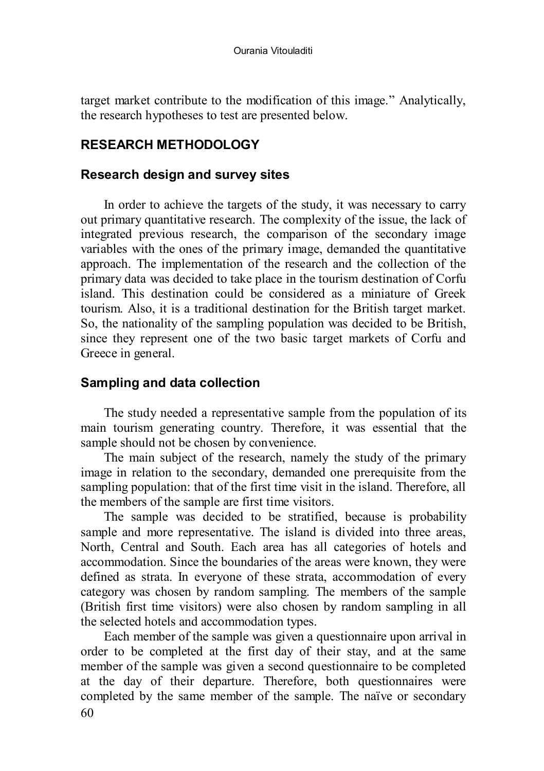target market contribute to the modification of this image." Analytically, the research hypotheses to test are presented below.

## **RESEARCH METHODOLOGY**

### **Research design and survey sites**

In order to achieve the targets of the study, it was necessary to carry out primary quantitative research. The complexity of the issue, the lack of integrated previous research, the comparison of the secondary image variables with the ones of the primary image, demanded the quantitative approach. The implementation of the research and the collection of the primary data was decided to take place in the tourism destination of Corfu island. This destination could be considered as a miniature of Greek tourism. Also, it is a traditional destination for the British target market. So, the nationality of the sampling population was decided to be British, since they represent one of the two basic target markets of Corfu and Greece in general.

# **Sampling and data collection**

The study needed a representative sample from the population of its main tourism generating country. Therefore, it was essential that the sample should not be chosen by convenience.

The main subject of the research, namely the study of the primary image in relation to the secondary, demanded one prerequisite from the sampling population: that of the first time visit in the island. Therefore, all the members of the sample are first time visitors.

The sample was decided to be stratified, because is probability sample and more representative. The island is divided into three areas, North, Central and South. Each area has all categories of hotels and accommodation. Since the boundaries of the areas were known, they were defined as strata. In everyone of these strata, accommodation of every category was chosen by random sampling. The members of the sample (British first time visitors) were also chosen by random sampling in all the selected hotels and accommodation types.

60 Each member of the sample was given a questionnaire upon arrival in order to be completed at the first day of their stay, and at the same member of the sample was given a second questionnaire to be completed at the day of their departure. Therefore, both questionnaires were completed by the same member of the sample. The naïve or secondary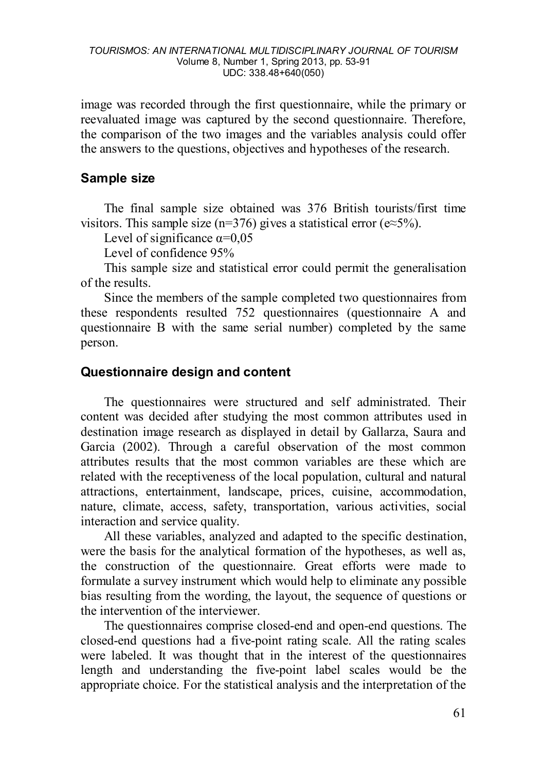image was recorded through the first questionnaire, while the primary or reevaluated image was captured by the second questionnaire. Therefore, the comparison of the two images and the variables analysis could offer the answers to the questions, objectives and hypotheses of the research.

## **Sample size**

The final sample size obtained was 376 British tourists/first time visitors. This sample size (n=376) gives a statistical error ( $e \approx 5\%$ ).

Level of significance  $\alpha$ =0.05

Level of confidence 95%

This sample size and statistical error could permit the generalisation of the results.

Since the members of the sample completed two questionnaires from these respondents resulted 752 questionnaires (questionnaire A and questionnaire B with the same serial number) completed by the same person.

## **Questionnaire design and content**

The questionnaires were structured and self administrated. Their content was decided after studying the most common attributes used in destination image research as displayed in detail by Gallarza, Saura and Garcia (2002). Through a careful observation of the most common attributes results that the most common variables are these which are related with the receptiveness of the local population, cultural and natural attractions, entertainment, landscape, prices, cuisine, accommodation, nature, climate, access, safety, transportation, various activities, social interaction and service quality.

All these variables, analyzed and adapted to the specific destination, were the basis for the analytical formation of the hypotheses, as well as, the construction of the questionnaire. Great efforts were made to formulate a survey instrument which would help to eliminate any possible bias resulting from the wording, the layout, the sequence of questions or the intervention of the interviewer.

The questionnaires comprise closed-end and open-end questions. The closed-end questions had a five-point rating scale. All the rating scales were labeled. It was thought that in the interest of the questionnaires length and understanding the five-point label scales would be the appropriate choice. For the statistical analysis and the interpretation of the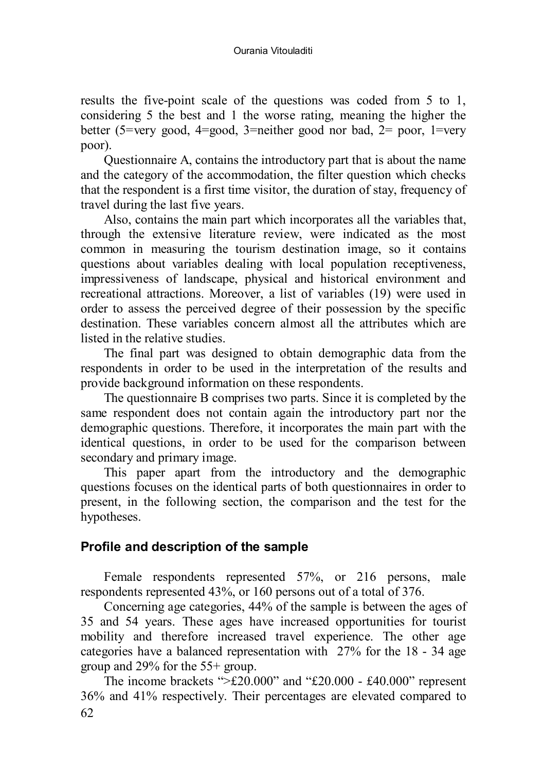results the five-point scale of the questions was coded from 5 to 1, considering 5 the best and 1 the worse rating, meaning the higher the better (5=very good, 4=good, 3=neither good nor bad, 2= poor, 1=very poor).

Questionnaire A, contains the introductory part that is about the name and the category of the accommodation, the filter question which checks that the respondent is a first time visitor, the duration of stay, frequency of travel during the last five years.

Also, contains the main part which incorporates all the variables that, through the extensive literature review, were indicated as the most common in measuring the tourism destination image, so it contains questions about variables dealing with local population receptiveness, impressiveness of landscape, physical and historical environment and recreational attractions. Moreover, a list of variables (19) were used in order to assess the perceived degree of their possession by the specific destination. These variables concern almost all the attributes which are listed in the relative studies.

The final part was designed to obtain demographic data from the respondents in order to be used in the interpretation of the results and provide background information on these respondents.

The questionnaire B comprises two parts. Since it is completed by the same respondent does not contain again the introductory part nor the demographic questions. Therefore, it incorporates the main part with the identical questions, in order to be used for the comparison between secondary and primary image.

This paper apart from the introductory and the demographic questions focuses on the identical parts of both questionnaires in order to present, in the following section, the comparison and the test for the hypotheses.

## **Profile and description of the sample**

Female respondents represented 57%, or 216 persons, male respondents represented 43%, or 160 persons out of a total of 376.

Concerning age categories, 44% of the sample is between the ages of 35 and 54 years. These ages have increased opportunities for tourist mobility and therefore increased travel experience. The other age categories have a balanced representation with 27% for the 18 - 34 age group and 29% for the 55+ group.

62 The income brackets " $\geq$ £20.000" and "£20.000 - £40.000" represent 36% and 41% respectively. Their percentages are elevated compared to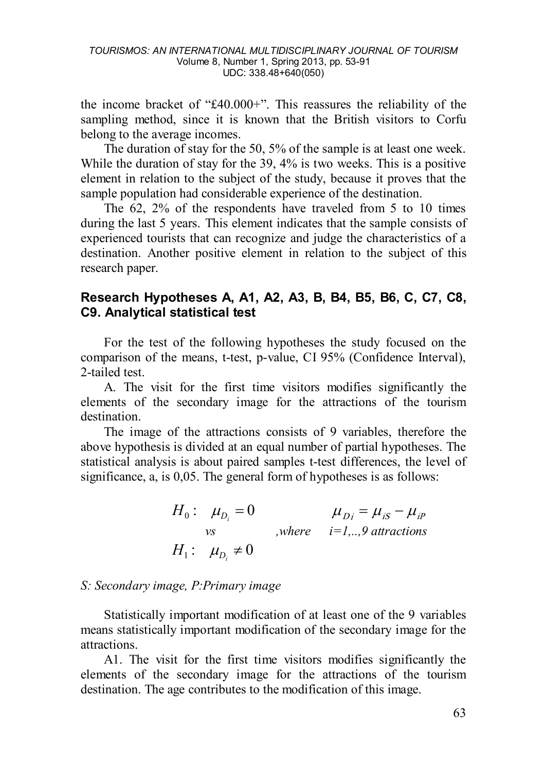the income bracket of "£40.000+". This reassures the reliability of the sampling method, since it is known that the British visitors to Corfu belong to the average incomes.

The duration of stay for the 50, 5% of the sample is at least one week. While the duration of stay for the 39, 4% is two weeks. This is a positive element in relation to the subject of the study, because it proves that the sample population had considerable experience of the destination.

The 62, 2% of the respondents have traveled from 5 to 10 times during the last 5 years. This element indicates that the sample consists of experienced tourists that can recognize and judge the characteristics of a destination. Another positive element in relation to the subject of this research paper.

# **Research Hypotheses A, A1, A2, A3, B, B4, B5, B6, C, C7, C8, C9. Analytical statistical test**

For the test of the following hypotheses the study focused on the comparison of the means, t-test, p-value, CI 95% (Confidence Interval), 2-tailed test.

A. The visit for the first time visitors modifies significantly the elements of the secondary image for the attractions of the tourism destination.

The image of the attractions consists of 9 variables, therefore the above hypothesis is divided at an equal number of partial hypotheses. The statistical analysis is about paired samples t-test differences, the level of significance, a, is 0,05. The general form of hypotheses is as follows:

| $H_0: \mu_{D_i}=0$       | $\mu_{Di} = \mu_{iS} - \mu_{iP}$ |
|--------------------------|----------------------------------|
| $\mathcal{V}\mathcal{S}$ | where $i=19$ attractions         |
| $H_1: \mu_{D_i} \neq 0$  |                                  |

### *S: Secondary image, P:Primary image*

Statistically important modification of at least one of the 9 variables means statistically important modification of the secondary image for the attractions.

A1. The visit for the first time visitors modifies significantly the elements of the secondary image for the attractions of the tourism destination. The age contributes to the modification of this image.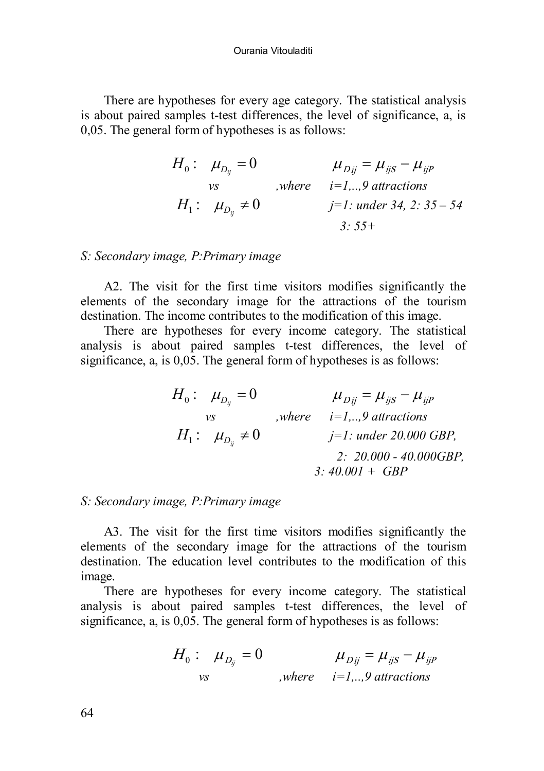There are hypotheses for every age category. The statistical analysis is about paired samples t-test differences, the level of significance, a, is 0,05. The general form of hypotheses is as follows:

$$
H_0: \mu_{D_{ij}} = 0 \qquad \mu_{Dij} = \mu_{ijS} - \mu_{ijP}
$$
  
\n
$$
W_1: \mu_{D_{ij}} \neq 0 \qquad \text{where} \quad i=1,..,9 \text{ attractions}
$$
  
\n
$$
H_1: \mu_{D_{ij}} \neq 0 \qquad \text{where} \quad j=1: \text{under 34, 2: 35-54}
$$
  
\n
$$
3: 55+
$$

### *S: Secondary image, P:Primary image*

A2. The visit for the first time visitors modifies significantly the elements of the secondary image for the attractions of the tourism destination. The income contributes to the modification of this image.

There are hypotheses for every income category. The statistical analysis is about paired samples t-test differences, the level of significance, a, is  $0.05$ . The general form of hypotheses is as follows:

| $H_0: \mu_{D_n}=0$      | $\mu_{Dii} = \mu_{ijS} - \mu_{ijP}$         |
|-------------------------|---------------------------------------------|
| νs                      | where $i=19$ attractions                    |
| $H_1: \mu_{D_n} \neq 0$ | $j=1$ : under 20.000 GBP,                   |
|                         | $2: 20.000 - 40.000GBP$<br>$3:40.001 + GBP$ |

### *S: Secondary image, P:Primary image*

A3. The visit for the first time visitors modifies significantly the elements of the secondary image for the attractions of the tourism destination. The education level contributes to the modification of this image.

There are hypotheses for every income category. The statistical analysis is about paired samples t-test differences, the level of significance, a, is 0,05. The general form of hypotheses is as follows:

$$
H_0: \mu_{D_{ij}} = 0 \qquad \mu_{Dij} = \mu_{ijS} - \mu_{ijP}
$$
  
vs, where  $i=1,..,9$  *attractions*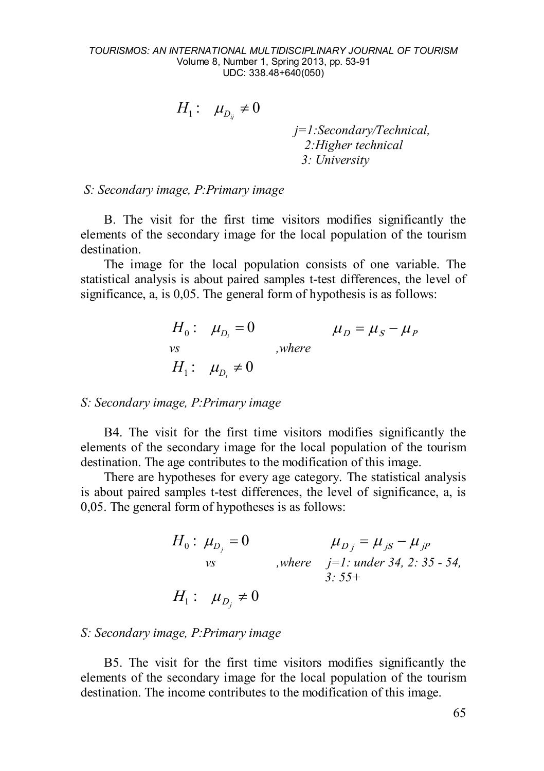$$
H_1: \mu_{D_{ij}} \neq 0
$$
  

$$
j=1:Secondary/Technical,
$$
  

$$
2:Higher technical
$$
  

$$
3: University
$$

*S: Secondary image, P:Primary image*

B. The visit for the first time visitors modifies significantly the elements of the secondary image for the local population of the tourism destination.

The image for the local population consists of one variable. The statistical analysis is about paired samples t-test differences, the level of significance, a, is 0,05. The general form of hypothesis is as follows:

$$
H_0: \mu_{D_i} = 0 \qquad \mu_D = \mu_S - \mu_P
$$
  
vs  

$$
H_1: \mu_{D_i} \neq 0
$$
, where

### *S: Secondary image, P:Primary image*

B4. The visit for the first time visitors modifies significantly the elements of the secondary image for the local population of the tourism destination. The age contributes to the modification of this image.

There are hypotheses for every age category. The statistical analysis is about paired samples t-test differences, the level of significance, a, is 0,05. The general form of hypotheses is as follows:

$$
H_0: \mu_{D_j} = 0 \qquad \mu_{D_j} = \mu_{jS} - \mu_{jp}
$$
  
\n
$$
W_0 \text{ where } j=1: \text{ under } 34, 2: 35 - 54,
$$
  
\n
$$
H_1: \mu_{D_j} \neq 0
$$

#### *S: Secondary image, P:Primary image*

B5. The visit for the first time visitors modifies significantly the elements of the secondary image for the local population of the tourism destination. The income contributes to the modification of this image.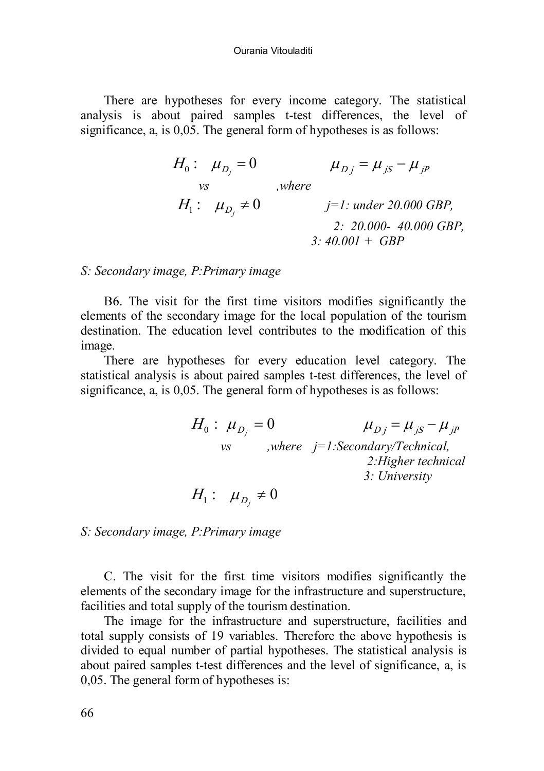There are hypotheses for every income category. The statistical analysis is about paired samples t-test differences, the level of significance, a, is 0,05. The general form of hypotheses is as follows:

$$
H_0: \mu_{D_j} = 0 \qquad \mu_{D_j} = \mu_{jS} - \mu_{jP}
$$
  
\n
$$
H_1: \mu_{D_j} \neq 0 \qquad j=1: under 20.000 GBP,
$$
  
\n
$$
2: 20.000 - 40.000 GBP,
$$
  
\n
$$
3: 40.001 + GBP
$$

### *S: Secondary image, P:Primary image*

B6. The visit for the first time visitors modifies significantly the elements of the secondary image for the local population of the tourism destination. The education level contributes to the modification of this image.

There are hypotheses for every education level category. The statistical analysis is about paired samples t-test differences, the level of significance, a, is 0,05. The general form of hypotheses is as follows:

$$
H_0: \mu_{D_j} = 0 \qquad \mu_{D_j} = \mu_{jS} - \mu_{jp}
$$
  
\nvs, where  $j=1$ :*Secondary/Technical*,  
\n2:Higher technical  
\n3: University

$$
H_1: \mu_{D_j} \neq 0
$$

*S: Secondary image, P:Primary image*

C. The visit for the first time visitors modifies significantly the elements of the secondary image for the infrastructure and superstructure, facilities and total supply of the tourism destination.

The image for the infrastructure and superstructure, facilities and total supply consists of 19 variables. Therefore the above hypothesis is divided to equal number of partial hypotheses. The statistical analysis is about paired samples t-test differences and the level of significance, a, is 0,05. The general form of hypotheses is: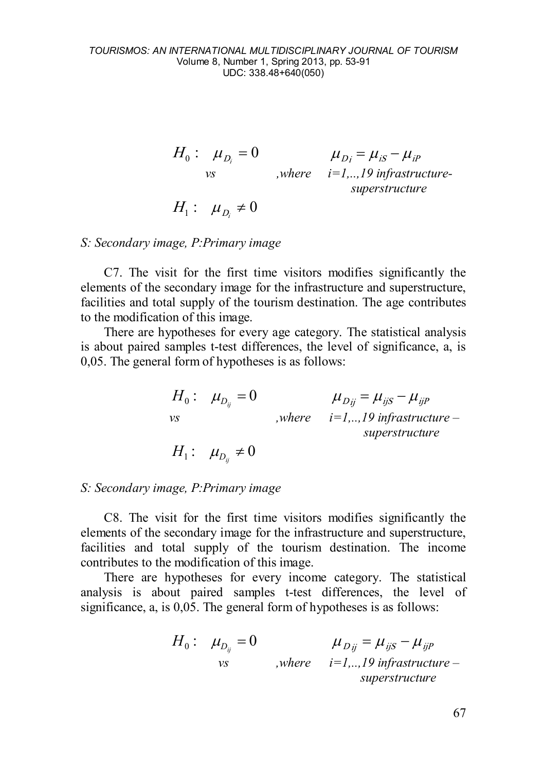$$
H_0: \mu_{D_i} = 0 \qquad \mu_{Di} = \mu_{is} - \mu_{ip}
$$
  
\n
$$
\text{where } i=1,..,19 \text{ infrastructure}
$$
  
\n
$$
H_1: \mu_{Di} \neq 0
$$

### *S: Secondary image, P:Primary image*

C7. The visit for the first time visitors modifies significantly the elements of the secondary image for the infrastructure and superstructure, facilities and total supply of the tourism destination. The age contributes to the modification of this image.

There are hypotheses for every age category. The statistical analysis is about paired samples t-test differences, the level of significance, a, is 0,05. The general form of hypotheses is as follows:

|    | $H_0: \mu_{D_n}=0$         | $\mu_{Dii} = \mu_{iiS} - \mu_{iiP}$        |
|----|----------------------------|--------------------------------------------|
| νs |                            | , where $i=1, \ldots, 19$ infrastructure – |
|    |                            | superstructure                             |
|    | $H_1: \mu_{D_{ii}} \neq 0$ |                                            |

### *S: Secondary image, P:Primary image*

C8. The visit for the first time visitors modifies significantly the elements of the secondary image for the infrastructure and superstructure, facilities and total supply of the tourism destination. The income contributes to the modification of this image.

There are hypotheses for every income category. The statistical analysis is about paired samples t-test differences, the level of significance, a, is 0,05. The general form of hypotheses is as follows:

$$
H_0: \mu_{D_{ij}} = 0 \qquad \mu_{Dij} = \mu_{ijS} - \mu_{ijP}
$$
  
\n
$$
\nu S \qquad , where \qquad i=1,..,19 \text{ infrastructure} -
$$
  
\n
$$
superstructure
$$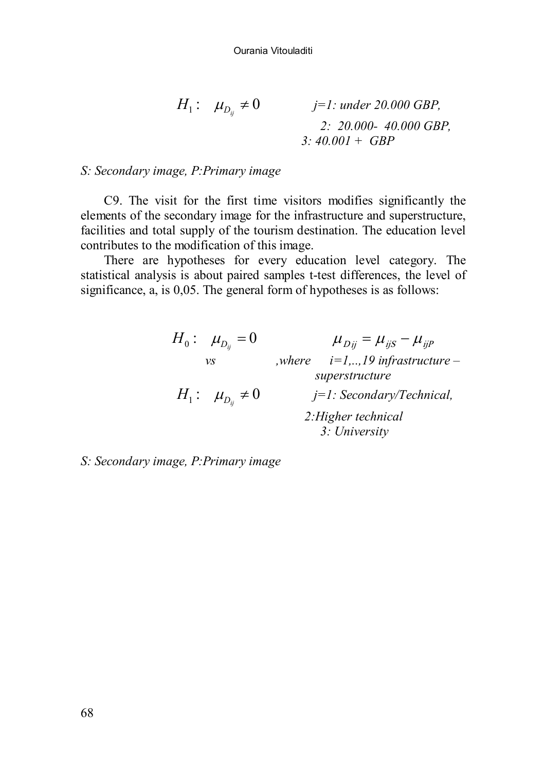$$
H_1: \mu_{D_{ij}} \neq 0 \qquad j=1: \text{ under } 20.000 \text{ GBP},
$$
  
2: 20.000- 40.000 GBP,  
3: 40.001 + GBP

### *S: Secondary image, P:Primary image*

C9. The visit for the first time visitors modifies significantly the elements of the secondary image for the infrastructure and superstructure, facilities and total supply of the tourism destination. The education level contributes to the modification of this image.

There are hypotheses for every education level category. The statistical analysis is about paired samples t-test differences, the level of significance, a, is 0,05. The general form of hypotheses is as follows:

| $H_0: \mu_{D_n}=0$      | $\mu_{Dii} = \mu_{iiS} - \mu_{iiP}$          |
|-------------------------|----------------------------------------------|
| νs                      | $i=1, \ldots, 19$ infrastructure –<br>where. |
|                         | superstructure                               |
| $H_1: \mu_{D_n} \neq 0$ | $j=1$ : Secondary/Technical,                 |
|                         | 2: Higher technical<br>3: University         |

*S: Secondary image, P:Primary image*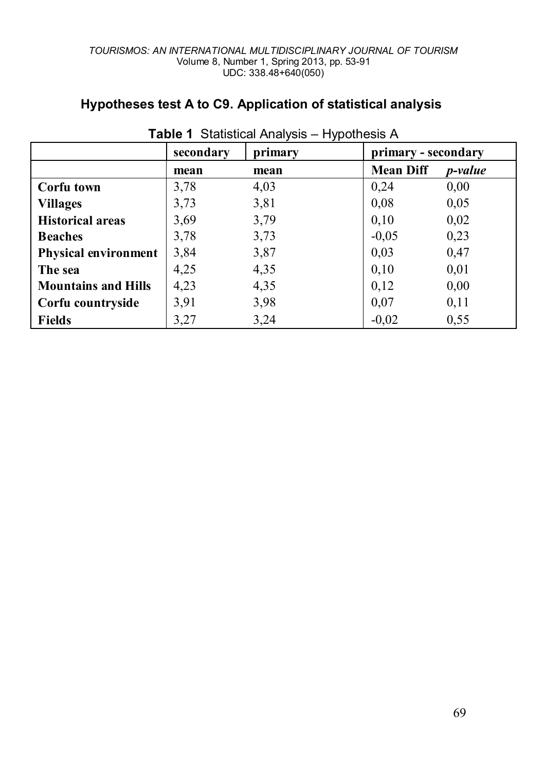| Table 1 Statistical Analysis - Hypothesis A |           |         |                     |                 |  |
|---------------------------------------------|-----------|---------|---------------------|-----------------|--|
|                                             | secondary | primary | primary - secondary |                 |  |
|                                             | mean      | mean    | <b>Mean Diff</b>    | <i>p</i> -value |  |
| Corfu town                                  | 3,78      | 4,03    | 0,24                | 0,00            |  |
| <b>Villages</b>                             | 3,73      | 3,81    | 0,08                | 0,05            |  |
| <b>Historical areas</b>                     | 3,69      | 3,79    | 0,10                | 0,02            |  |
| <b>Beaches</b>                              | 3,78      | 3,73    | $-0.05$             | 0,23            |  |
| <b>Physical environment</b>                 | 3,84      | 3,87    | 0,03                | 0,47            |  |
| The sea                                     | 4,25      | 4,35    | 0,10                | 0,01            |  |
| <b>Mountains and Hills</b>                  | 4,23      | 4,35    | 0,12                | 0,00            |  |
| Corfu countryside                           | 3,91      | 3,98    | 0,07                | 0,11            |  |
| Fields                                      | 3,27      | 3,24    | $-0,02$             | 0,55            |  |

# **Hypotheses test A to C9. Application of statistical analysis**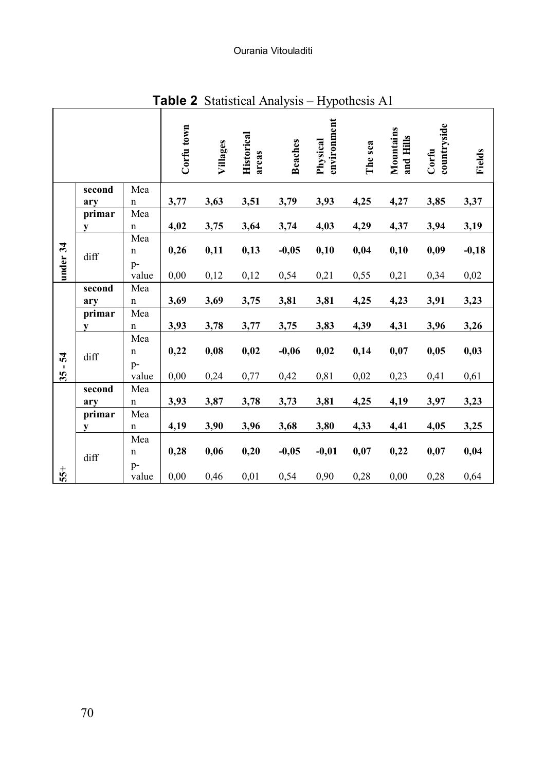Ourania Vitouladiti

|          |        |                          | $\sim$     |          |                            |                |                         |         |                        |                      |               |
|----------|--------|--------------------------|------------|----------|----------------------------|----------------|-------------------------|---------|------------------------|----------------------|---------------|
|          |        |                          | Corfu town | Villages | <b>Historical</b><br>areas | <b>Beaches</b> | environment<br>Physical | The sea | Mountains<br>and Hills | countryside<br>Corfu | <b>Fields</b> |
|          | second | Mea                      |            |          |                            |                |                         |         |                        |                      |               |
|          | ary    | n                        | 3,77       | 3,63     | 3,51                       | 3,79           | 3,93                    | 4,25    | 4,27                   | 3,85                 | 3,37          |
|          | primar | Mea                      |            |          |                            |                |                         |         |                        |                      |               |
|          | y      | $\mathbf n$              | 4,02       | 3,75     | 3,64                       | 3,74           | 4,03                    | 4,29    | 4,37                   | 3,94                 | 3,19          |
|          | diff   | Mea<br>$\mathbf n$       | 0,26       | 0,11     | 0,13                       | $-0,05$        | 0,10                    | 0,04    | 0,10                   | 0,09                 | $-0,18$       |
| under 34 |        | p-<br>value              | 0,00       | 0,12     | 0,12                       | 0,54           | 0,21                    | 0,55    | 0,21                   | 0,34                 | $0,\!02$      |
|          | second | Mea                      |            |          |                            |                |                         |         |                        |                      |               |
|          | ary    | $\mathbf n$              | 3,69       | 3,69     | 3,75                       | 3,81           | 3,81                    | 4,25    | 4,23                   | 3,91                 | 3,23          |
|          | primar | Mea                      |            |          |                            |                |                         |         |                        |                      |               |
|          | у      | $\mathbf n$              | 3,93       | 3,78     | 3,77                       | 3,75           | 3,83                    | 4,39    | 4,31                   | 3,96                 | 3,26          |
| 54       | diff   | Mea<br>$\mathbf n$<br>p- | 0,22       | 0,08     | 0,02                       | $-0,06$        | 0,02                    | 0,14    | 0,07                   | 0,05                 | 0,03          |
| 35       |        | value                    | 0,00       | 0,24     | 0,77                       | 0,42           | 0,81                    | 0,02    | 0,23                   | 0,41                 | 0,61          |
|          | second | Mea                      |            |          |                            |                |                         |         |                        |                      |               |
|          | arv    | $\mathbf n$              | 3,93       | 3,87     | 3,78                       | 3,73           | 3,81                    | 4,25    | 4,19                   | 3,97                 | 3,23          |
|          | primar | Mea                      |            |          |                            |                |                         |         |                        |                      |               |
|          | y      | $\mathbf n$              | 4,19       | 3,90     | 3,96                       | 3,68           | 3,80                    | 4,33    | 4,41                   | 4,05                 | 3,25          |
|          |        | Mea<br>$\mathbf n$       | 0,28       | 0,06     | 0,20                       | $-0,05$        | $-0,01$                 | 0,07    | 0,22                   | 0,07                 | 0,04          |
| $55+$    | diff   | p-<br>value              | 0,00       | 0,46     | 0,01                       | 0,54           | 0,90                    | 0,28    | 0,00                   | 0,28                 | 0,64          |

**Table 2** Statistical Analysis – Hypothesis A1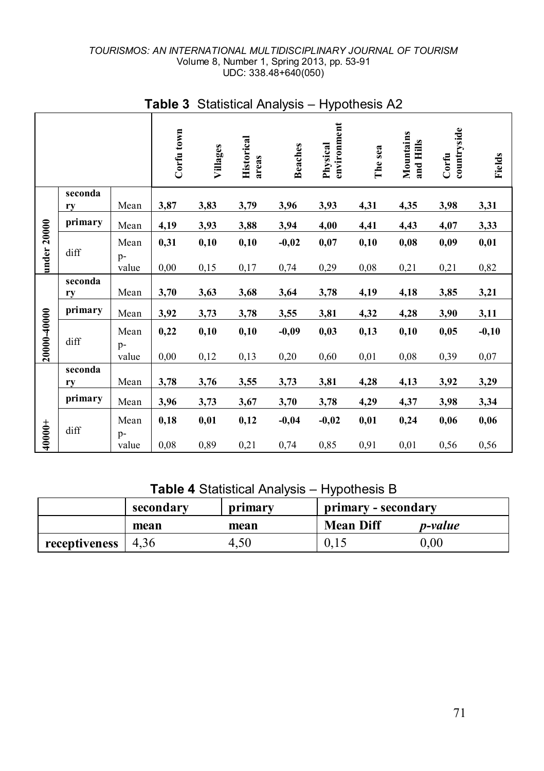|             |               |                       | . . <i>,</i> p o  . |              |                            |                 |                         |              |                        |                      |                 |
|-------------|---------------|-----------------------|---------------------|--------------|----------------------------|-----------------|-------------------------|--------------|------------------------|----------------------|-----------------|
|             |               |                       | Corfu town          | Villages     | <b>Historical</b><br>areas | <b>Beaches</b>  | environment<br>Physical | The sea      | Mountains<br>and Hills | countryside<br>Corfu | Fields          |
|             | seconda<br>ry | $Mean$                | 3,87                | 3,83         | 3,79                       | 3,96            | 3,93                    | 4,31         | 4,35                   | 3,98                 | 3,31            |
|             | primary       | Mean                  | 4,19                | 3,93         | 3,88                       | 3,94            | 4,00                    | 4,41         | 4,43                   | 4,07                 | 3,33            |
| under 20000 | diff          | Mean<br>p-            | 0,31                | 0,10         | 0,10                       | $-0,02$         | 0,07                    | 0,10         | 0,08                   | 0,09                 | 0,01            |
|             |               | value                 | 0,00                | 0,15         | 0,17                       | 0,74            | 0,29                    | 0,08         | 0,21                   | 0,21                 | 0,82            |
|             | seconda<br>ry | Mean                  | 3,70                | 3,63         | 3,68                       | 3,64            | 3,78                    | 4,19         | 4,18                   | 3,85                 | 3,21            |
|             | primary       | Mean                  | 3,92                | 3,73         | 3,78                       | 3,55            | 3,81                    | 4,32         | 4,28                   | 3,90                 | 3,11            |
| 20000-40000 | diff          | Mean<br>$p-$<br>value | 0,22<br>0,00        | 0,10<br>0,12 | 0,10<br>0,13               | $-0,09$<br>0,20 | 0,03<br>0,60            | 0,13<br>0,01 | 0,10<br>0,08           | 0,05<br>0,39         | $-0,10$<br>0,07 |
|             | seconda       |                       |                     |              |                            |                 |                         |              |                        |                      |                 |
|             | ry            | Mean                  | 3,78                | 3,76         | 3,55                       | 3,73            | 3,81                    | 4,28         | 4,13                   | 3,92                 | 3,29            |
|             | primary       | Mean                  | 3,96                | 3,73         | 3,67                       | 3,70            | 3,78                    | 4,29         | 4,37                   | 3,98                 | 3,34            |
|             | diff          | Mean<br>p-            | 0,18                | 0,01         | 0,12                       | $-0,04$         | $-0,02$                 | 0,01         | 0,24                   | 0,06                 | 0,06            |
| 40000+      |               | value                 | 0,08                | 0,89         | 0,21                       | 0,74            | 0,85                    | 0,91         | 0,01                   | 0,56                 | 0,56            |

# **Table 3** Statistical Analysis – Hypothesis A2

**Table 4** Statistical Analysis – Hypothesis B

|                       | secondary<br>primary - secondary<br>primary |      |                  |                 |
|-----------------------|---------------------------------------------|------|------------------|-----------------|
|                       | mean                                        | mean | <b>Mean Diff</b> | <i>p</i> -value |
| receptiveness $ 4,36$ |                                             | 4.50 |                  | $0.00\,$        |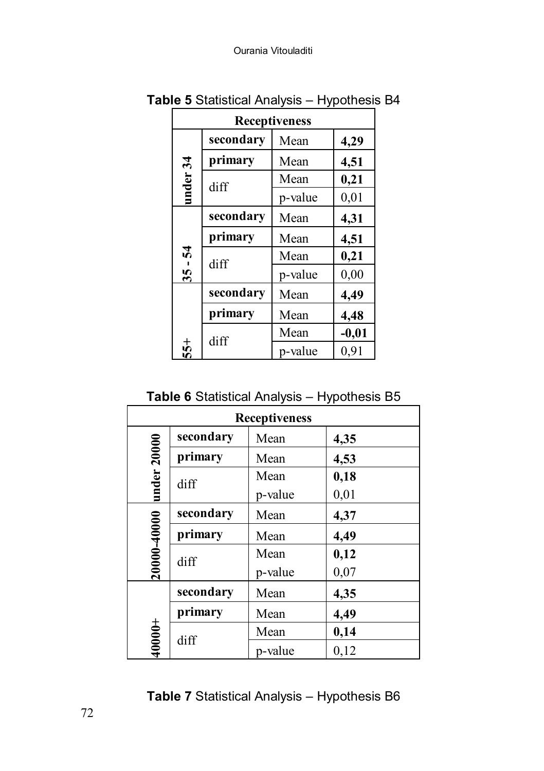| <b>Receptiveness</b> |           |         |         |  |  |
|----------------------|-----------|---------|---------|--|--|
|                      | secondary | Mean    | 4,29    |  |  |
|                      | primary   | Mean    | 4,51    |  |  |
| under 34             | diff      | Mean    | 0,21    |  |  |
|                      |           | p-value | 0,01    |  |  |
|                      | secondary | Mean    | 4,31    |  |  |
| 54                   | primary   | Mean    | 4,51    |  |  |
|                      | diff      | Mean    | 0,21    |  |  |
| 35                   |           | p-value | 0,00    |  |  |
|                      | secondary | Mean    | 4,49    |  |  |
|                      | primary   | Mean    | 4,48    |  |  |
|                      | diff      | Mean    | $-0,01$ |  |  |
| 55+                  |           | p-value | 0,91    |  |  |

**Table 5** Statistical Analysis – Hypothesis B4

**Table 6** Statistical Analysis – Hypothesis B5

| <b>Receptiveness</b>   |           |         |      |  |  |
|------------------------|-----------|---------|------|--|--|
|                        | secondary | Mean    | 4,35 |  |  |
| under 20000            | primary   | Mean    | 4,53 |  |  |
|                        | diff      | Mean    | 0,18 |  |  |
|                        |           | p-value | 0,01 |  |  |
| 20000-40000<br>primary | secondary | Mean    | 4,37 |  |  |
|                        |           | Mean    | 4,49 |  |  |
|                        | diff      | Mean    | 0,12 |  |  |
|                        |           | p-value | 0,07 |  |  |
|                        | secondary | Mean    | 4,35 |  |  |
|                        | primary   | Mean    | 4,49 |  |  |
| $+0000+$               |           | Mean    | 0,14 |  |  |
|                        | diff      | p-value | 0,12 |  |  |

**Table 7** Statistical Analysis – Hypothesis B6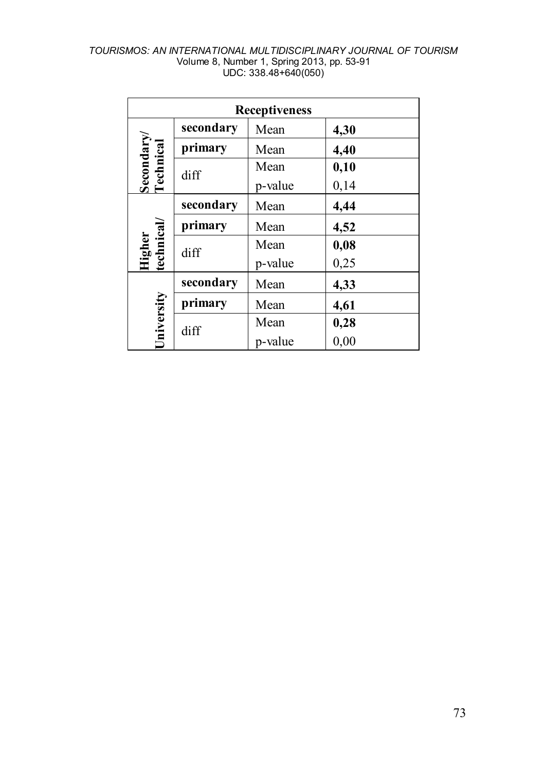|                         | <b>Receptiveness</b> |         |      |  |  |
|-------------------------|----------------------|---------|------|--|--|
|                         | secondary            | Mean    | 4,30 |  |  |
| Secondary/<br>Technical | primary              | Mean    | 4,40 |  |  |
|                         | diff                 | Mean    | 0,10 |  |  |
|                         |                      | p-value | 0,14 |  |  |
|                         | secondary            | Mean    | 4,44 |  |  |
|                         | primary              | Mean    | 4,52 |  |  |
|                         | diff                 | Mean    | 0,08 |  |  |
| Higher<br>technical/    |                      | p-value | 0,25 |  |  |
|                         | secondary            | Mean    | 4,33 |  |  |
| University              | primary              | Mean    | 4,61 |  |  |
|                         |                      | Mean    | 0,28 |  |  |
|                         | diff                 | p-value | 0,00 |  |  |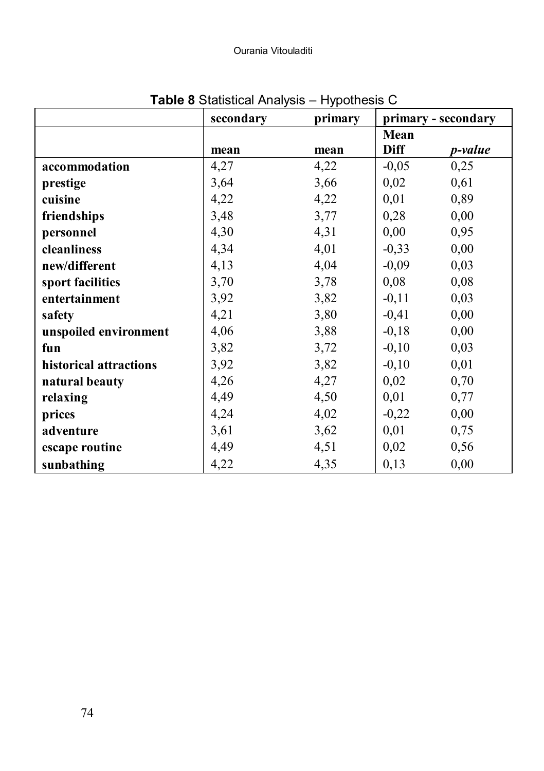|                        | ╯         |         |             |                     |
|------------------------|-----------|---------|-------------|---------------------|
|                        | secondary | primary |             | primary - secondary |
|                        |           |         | Mean        |                     |
|                        | mean      | mean    | <b>Diff</b> | p-value             |
| accommodation          | 4,27      | 4,22    | $-0,05$     | 0,25                |
| prestige               | 3,64      | 3,66    | 0,02        | 0,61                |
| cuisine                | 4,22      | 4,22    | 0,01        | 0,89                |
| friendships            | 3,48      | 3,77    | 0,28        | 0,00                |
| personnel              | 4,30      | 4,31    | 0,00        | 0,95                |
| cleanliness            | 4,34      | 4,01    | $-0,33$     | 0,00                |
| new/different          | 4,13      | 4,04    | $-0,09$     | 0,03                |
| sport facilities       | 3,70      | 3,78    | 0,08        | 0,08                |
| entertainment          | 3,92      | 3,82    | $-0,11$     | 0,03                |
| safety                 | 4,21      | 3,80    | $-0,41$     | 0,00                |
| unspoiled environment  | 4,06      | 3,88    | $-0,18$     | 0,00                |
| fun                    | 3,82      | 3,72    | $-0,10$     | 0,03                |
| historical attractions | 3,92      | 3,82    | $-0,10$     | 0,01                |
| natural beauty         | 4,26      | 4,27    | 0,02        | 0,70                |
| relaxing               | 4,49      | 4,50    | 0,01        | 0,77                |
| prices                 | 4,24      | 4,02    | $-0,22$     | 0,00                |
| adventure              | 3,61      | 3,62    | 0,01        | 0,75                |
| escape routine         | 4,49      | 4,51    | 0,02        | 0,56                |
| sunbathing             | 4,22      | 4,35    | 0,13        | 0,00                |

# **Table 8** Statistical Analysis – Hypothesis C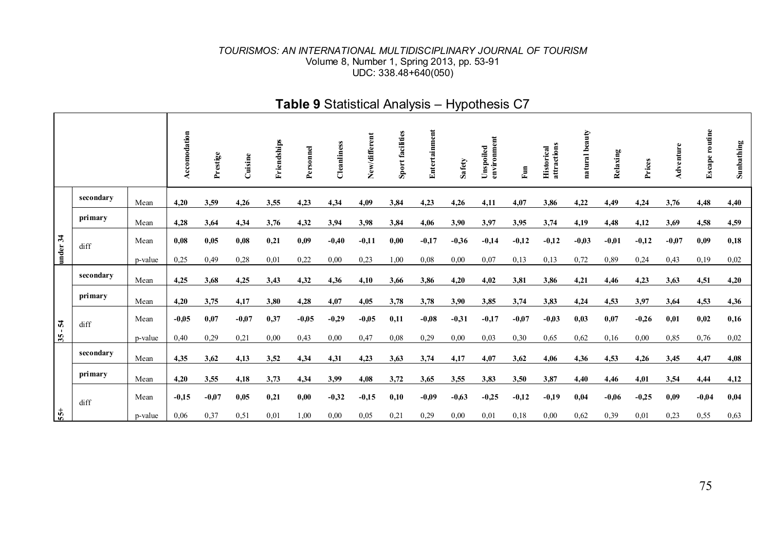|           |           |         | Accomodation | Prestige | $C$ uisine | Friendships | Personnel | Cleanliness | New/different | facilities<br>Sport | Entertainment | Safety  | environment<br>Unspoiled | Fun     | attractions<br>Historical | natural beauty | Relaxing | Prices  | Adventure | <b>Escape routine</b> | Sunbathing |
|-----------|-----------|---------|--------------|----------|------------|-------------|-----------|-------------|---------------|---------------------|---------------|---------|--------------------------|---------|---------------------------|----------------|----------|---------|-----------|-----------------------|------------|
|           | secondary | Mean    | 4,20         | 3,59     | 4,26       | 3,55        | 4,23      | 4,34        | 4,09          | 3,84                | 4,23          | 4,26    | 4,11                     | 4,07    | 3,86                      | 4,22           | 4,49     | 4,24    | 3,76      | 4,48                  | 4,40       |
|           | primary   | Mean    | 4,28         | 3,64     | 4,34       | 3,76        | 4,32      | 3,94        | 3,98          | 3,84                | 4,06          | 3.90    | 3,97                     | 3,95    | 3,74                      | 4,19           | 4,48     | 4,12    | 3,69      | 4,58                  | 4,59       |
| under 34  | diff      | Mean    | 0.08         | 0.05     | 0,08       | 0,21        | 0,09      | $-0.40$     | $-0.11$       | 0.00                | $-0.17$       | $-0.36$ | $-0,14$                  | $-0,12$ | $-0.12$                   | $-0.03$        | $-0.01$  | $-0.12$ | $-0.07$   | 0,09                  | 0,18       |
|           |           | p-value | 0,25         | 0,49     | 0.28       | 0,01        | 0,22      | 0,00        | 0,23          | 1,00                | 0.08          | 0.00    | 0.07                     | 0,13    | 0.13                      | 0.72           | 0,89     | 0,24    | 0,43      | 0,19                  | 0,02       |
|           | secondary | Mean    | 4,25         | 3,68     | 4,25       | 3,43        | 4,32      | 4,36        | 4,10          | 3,66                | 3,86          | 4,20    | 4,02                     | 3,81    | 3,86                      | 4,21           | 4,46     | 4,23    | 3,63      | 4,51                  | 4,20       |
|           | primary   | Mean    | 4.20         | 3,75     | 4,17       | 3,80        | 4,28      | 4,07        | 4,05          | 3,78                | 3,78          | 3.90    | 3,85                     | 3,74    | 3,83                      | 4,24           | 4,53     | 3,97    | 3,64      | 4,53                  | 4,36       |
|           | diff      | Mean    | $-0.05$      | 0,07     | $-0,07$    | 0,37        | $-0.05$   | $-0,29$     | $-0.05$       | 0,11                | $-0,08$       | $-0,31$ | $-0,17$                  | $-0,07$ | $-0,03$                   | 0,03           | 0,07     | $-0.26$ | 0,01      | 0,02                  | 0,16       |
| $35 - 54$ |           | p-value | 0,40         | 0.29     | 0,21       | 0,00        | 0,43      | 0,00        | 0,47          | 0,08                | 0,29          | 0.00    | 0,03                     | 0,30    | 0.65                      | 0.62           | 0,16     | 0.00    | 0,85      | 0,76                  | 0,02       |
|           | secondary | Mean    | 4,35         | 3,62     | 4,13       | 3,52        | 4,34      | 4,31        | 4,23          | 3,63                | 3,74          | 4,17    | 4,07                     | 3,62    | 4,06                      | 4,36           | 4,53     | 4,26    | 3,45      | 4,47                  | 4,08       |
|           | primary   | Mean    | 4,20         | 3,55     | 4,18       | 3,73        | 4,34      | 3,99        | 4,08          | 3,72                | 3,65          | 3,55    | 3,83                     | 3,50    | 3,87                      | 4,40           | 4,46     | 4,01    | 3,54      | 4,44                  | 4,12       |
|           | diff      | Mean    | $-0.15$      | $-0.07$  | 0,05       | 0,21        | 0,00      | $-0.32$     | $-0.15$       | 0,10                | $-0.09$       | $-0.63$ | $-0.25$                  | $-0,12$ | $-0,19$                   | 0,04           | $-0.06$  | $-0.25$ | 0,09      | $-0.04$               | 0,04       |
| $55+$     |           | p-value | 0,06         | 0.37     | 0,51       | 0,01        | 1,00      | 0.00        | 0.05          | 0,21                | 0,29          | 0.00    | 0,01                     | 0,18    | 0.00                      | 0.62           | 0,39     | 0.01    | 0,23      | 0,55                  | 0.63       |

# **Table 9** Statistical Analysis – Hypothesis C7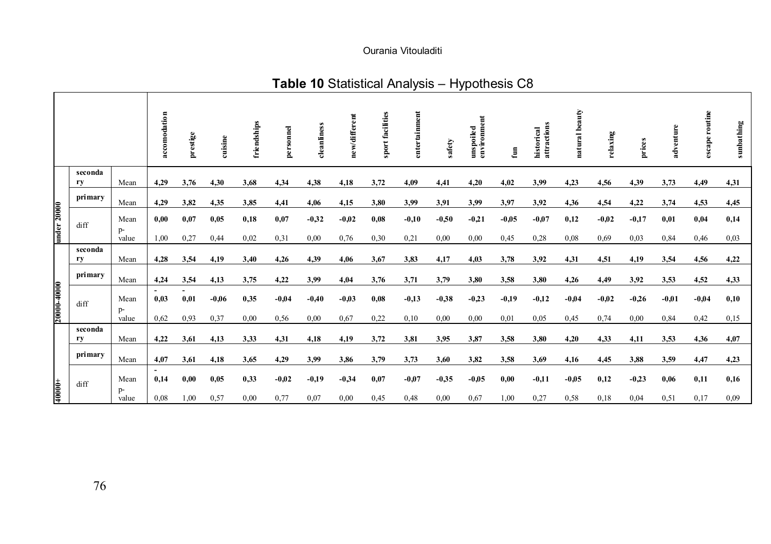### Ourania Vitouladiti

# **Table 10** Statistical Analysis – Hypothesis C8

|             |         |              | accomodation                     | prestige | cuisine | friendships | personnel | cleanliness | new/different | sport facilities | entertainment | safety  | environment<br>unspoiled | Ē       | attractions<br>historical | natural beauty | relaxing | prices  | adventure | escape routine | sunbathing |
|-------------|---------|--------------|----------------------------------|----------|---------|-------------|-----------|-------------|---------------|------------------|---------------|---------|--------------------------|---------|---------------------------|----------------|----------|---------|-----------|----------------|------------|
|             | seconda |              |                                  |          |         |             |           |             |               |                  |               |         |                          |         |                           |                |          |         |           |                |            |
|             | ry      | Mean         | 4.29                             | 3,76     | 4,30    | 3,68        | 4,34      | 4,38        | 4,18          | 3,72             | 4,09          | 4,41    | 4,20                     | 4,02    | 3,99                      | 4,23           | 4,56     | 4,39    | 3,73      | 4,49           | 4,31       |
| under 20000 | primary | Mean         | 4,29                             | 3,82     | 4,35    | 3,85        | 4,41      | 4,06        | 4,15          | 3,80             | 3,99          | 3,91    | 3,99                     | 3,97    | 3,92                      | 4,36           | 4,54     | 4,22    | 3,74      | 4,53           | 4,45       |
|             | diff    | Mean<br>$p-$ | 0,00                             | 0,07     | 0,05    | 0,18        | 0,07      | $-0.32$     | $-0.02$       | 0,08             | $-0,10$       | $-0.50$ | $-0.21$                  | $-0.05$ | $-0.07$                   | 0,12           | $-0.02$  | $-0,17$ | 0,01      | 0,04           | 0,14       |
|             |         | value        | 1,00                             | 0.27     | 0,44    | 0,02        | 0,31      | 0,00        | 0,76          | 0,30             | 0,21          | 0.00    | 0,00                     | 0,45    | 0,28                      | 0,08           | 0.69     | 0,03    | 0,84      | 0,46           | 0,03       |
|             | seconda |              |                                  |          |         |             |           |             |               |                  |               |         |                          |         |                           |                |          |         |           |                |            |
|             | ry      | Mean         | 4,28                             | 3,54     | 4,19    | 3,40        | 4,26      | 4,39        | 4,06          | 3,67             | 3,83          | 4,17    | 4,03                     | 3,78    | 3,92                      | 4,31           | 4,51     | 4,19    | 3,54      | 4,56           | 4,22       |
|             | primary | Mean         | 4,24                             | 3,54     | 4,13    | 3,75        | 4,22      | 3,99        | 4,04          | 3,76             | 3,71          | 3,79    | 3,80                     | 3,58    | 3,80                      | 4,26           | 4,49     | 3,92    | 3,53      | 4,52           | 4,33       |
| 2000140000  | diff    | Mean         | 0.03                             | 0,01     | $-0.06$ | 0,35        | $-0.04$   | $-0.40$     | $-0.03$       | 0,08             | $-0,13$       | $-0,38$ | $-0.23$                  | $-0.19$ | $-0,12$                   | $-0.04$        | $-0.02$  | $-0.26$ | $-0.01$   | $-0.04$        | 0,10       |
|             |         | p-<br>value  | 0.62                             | 0.93     | 0,37    | 0,00        | 0,56      | 0.00        | 0.67          | 0,22             | 0,10          | 0,00    | 0,00                     | 0,01    | 0.05                      | 0,45           | 0,74     | 0,00    | 0,84      | 0,42           | 0,15       |
|             | seconda |              |                                  |          |         |             |           |             |               |                  |               |         |                          |         |                           |                |          |         |           |                |            |
|             | ry      | Mean         | 4,22                             | 3,61     | 4,13    | 3,33        | 4,31      | 4,18        | 4,19          | 3,72             | 3,81          | 3,95    | 3,87                     | 3,58    | 3,80                      | 4,20           | 4,33     | 4,11    | 3,53      | 4,36           | 4,07       |
|             | primary | Mean         | 4,07                             | 3,61     | 4,18    | 3,65        | 4,29      | 3,99        | 3,86          | 3,79             | 3,73          | 3,60    | 3,82                     | 3,58    | 3,69                      | 4,16           | 4,45     | 3,88    | 3,59      | 4,47           | 4,23       |
|             | diff    | Mean         | $\overline{\phantom{a}}$<br>0,14 | 0,00     | 0,05    | 0,33        | $-0,02$   | $-0,19$     | $-0.34$       | 0,07             | $-0,07$       | $-0.35$ | $-0.05$                  | 0,00    | $-0,11$                   | $-0.05$        | 0,12     | $-0,23$ | 0,06      | 0,11           | 0,16       |
| 40000+      |         | p-<br>value  | 0.08                             | 1.00     | 0,57    | 0,00        | 0,77      | 0,07        | 0,00          | 0,45             | 0,48          | 0,00    | 0.67                     | 1,00    | 0,27                      | 0.58           | 0,18     | 0,04    | 0,51      | 0,17           | 0,09       |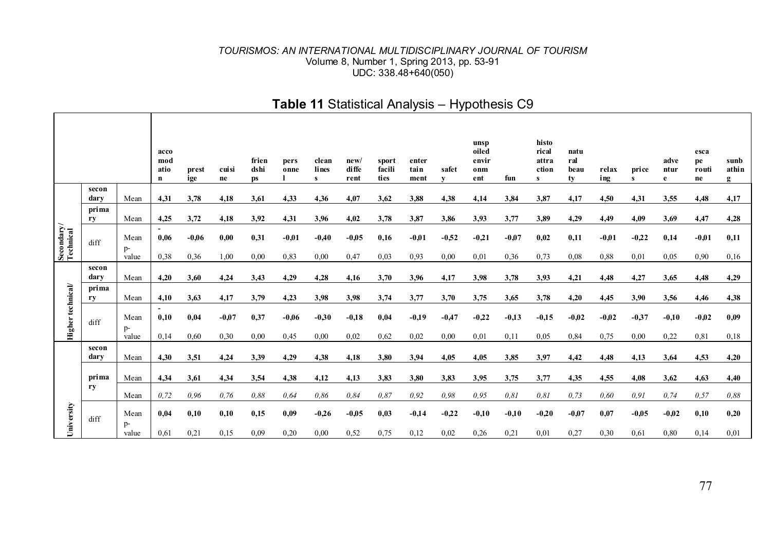|                         |               |                       | acco<br>mod<br>atio<br>n                 | prest<br>ige | cuisi<br>ne     | frien<br>dshi<br><b>ps</b> | pers<br>onne    | clean<br>lines<br>s | new/<br>di ffe<br>rent | sport<br>facili<br>ties | enter<br>tain<br>ment | safet<br>v      | unsp<br>oiled<br>envir<br>onm<br>ent | fun             | histo<br>rical<br>attra<br>ction<br>s | natu<br>ral<br>beau<br>tv | relax<br>ing    | price<br>s      | adve<br>ntur<br>e | esca<br>pe<br>routi<br>ne | sunb<br>athin<br>g |
|-------------------------|---------------|-----------------------|------------------------------------------|--------------|-----------------|----------------------------|-----------------|---------------------|------------------------|-------------------------|-----------------------|-----------------|--------------------------------------|-----------------|---------------------------------------|---------------------------|-----------------|-----------------|-------------------|---------------------------|--------------------|
|                         | secon<br>dary | Mean                  | 4,31                                     | 3,78         | 4,18            | 3,61                       | 4,33            | 4,36                | 4,07                   | 3,62                    | 3,88                  | 4,38            | 4,14                                 | 3,84            | 3,87                                  | 4,17                      | 4,50            | 4,31            | 3,55              | 4,48                      | 4,17               |
|                         | prima<br>ry   | Mean                  | 4,25                                     | 3,72         | 4,18            | 3,92                       | 4,31            | 3,96                | 4,02                   | 3,78                    | 3,87                  | 3,86            | 3,93                                 | 3,77            | 3,89                                  | 4,29                      | 4,49            | 4,09            | 3,69              | 4,47                      | 4,28               |
| Secondary/<br>Technical | diff          | Mean<br>$p-$          | 0,06                                     | $-0.06$      | 0,00            | 0,31                       | $-0.01$         | $-0.40$             | $-0.05$                | 0,16                    | $-0.01$               | $-0,52$         | $-0.21$                              | $-0.07$         | 0,02                                  | 0,11                      | $-0.01$         | $-0.22$         | 0,14              | $-0.01$                   | 0,11               |
|                         |               | value                 | 0.38                                     | 0,36         | 1,00            | 0,00                       | 0,83            | 0,00                | 0,47                   | 0.03                    | 0,93                  | 0,00            | 0,01                                 | 0,36            | 0,73                                  | 0,08                      | 0,88            | 0,01            | 0,05              | 0.90                      | 0,16               |
|                         | secon<br>dary | Mean                  | 4,20                                     | 3,60         | 4,24            | 3,43                       | 4,29            | 4,28                | 4,16                   | 3,70                    | 3,96                  | 4,17            | 3,98                                 | 3,78            | 3,93                                  | 4,21                      | 4,48            | 4,27            | 3,65              | 4,48                      | 4,29               |
|                         | prima<br>ry   | Mean                  | 4,10                                     | 3,63         | 4,17            | 3,79                       | 4,23            | 3,98                | 3,98                   | 3,74                    | 3,77                  | 3,70            | 3,75                                 | 3,65            | 3,78                                  | 4,20                      | 4,45            | 3,90            | 3,56              | 4,46                      | 4,38               |
| Higher technical/       | diff          | Mean<br>$p-$<br>value | $\overline{\phantom{a}}$<br>0,10<br>0,14 | 0,04<br>0.60 | $-0.07$<br>0,30 | 0.37<br>0.00               | $-0.06$<br>0.45 | $-0.30$<br>0,00     | $-0.18$<br>0,02        | 0,04<br>0,62            | $-0.19$<br>0.02       | $-0.47$<br>0,00 | $-0,22$<br>0,01                      | $-0.13$<br>0,11 | $-0.15$<br>0,05                       | $-0.02$<br>0,84           | $-0.02$<br>0,75 | $-0.37$<br>0.00 | $-0.10$<br>0,22   | $-0.02$<br>0,81           | 0,09<br>0,18       |
|                         | secon<br>darv | Mean                  | 4,30                                     | 3,51         | 4,24            | 3,39                       | 4,29            | 4,38                | 4,18                   | 3,80                    | 3,94                  | 4,05            | 4,05                                 | 3,85            | 3,97                                  | 4,42                      | 4,48            | 4,13            | 3,64              | 4,53                      | 4,20               |
|                         | prima         | Mean                  | 4,34                                     | 3,61         | 4,34            | 3,54                       | 4,38            | 4,12                | 4,13                   | 3,83                    | 3,80                  | 3,83            | 3.95                                 | 3,75            | 3,77                                  | 4,35                      | 4,55            | 4,08            | 3,62              | 4,63                      | 4,40               |
|                         | ry            | Mean                  | 0.72                                     | 0.96         | 0.76            | 0.88                       | 0.64            | 0.86                | 0.84                   | 0.87                    | 0,92                  | 0.98            | 0.95                                 | 0.81            | 0.81                                  | 0,73                      | 0.60            | 0.91            | 0,74              | 0.57                      | 0.88               |
| University              | diff          | Mean<br>p-<br>value   | 0,04<br>0.61                             | 0,10<br>0,21 | 0,10<br>0,15    | 0,15<br>0.09               | 0,09<br>0.20    | $-0,26$<br>0,00     | $-0.05$<br>0,52        | 0,03<br>0,75            | $-0,14$<br>0,12       | $-0,22$<br>0,02 | $-0,10$<br>0.26                      | $-0.10$<br>0.21 | $-0,20$<br>0,01                       | $-0,07$<br>0,27           | 0,07<br>0,30    | $-0.05$<br>0,61 | $-0.02$<br>0,80   | 0,10<br>0,14              | 0,20<br>0,01       |

# **Table 11** Statistical Analysis – Hypothesis C9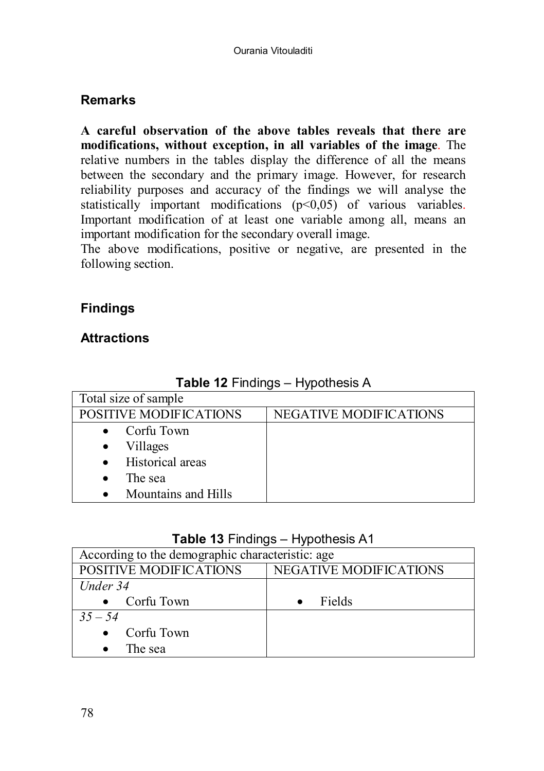# **Remarks**

**A careful observation of the above tables reveals that there are modifications, without exception, in all variables of the image**. The relative numbers in the tables display the difference of all the means between the secondary and the primary image. However, for research reliability purposes and accuracy of the findings we will analyse the statistically important modifications (p<0,05) of various variables. Important modification of at least one variable among all, means an important modification for the secondary overall image.

The above modifications, positive or negative, are presented in the following section.

# **Findings**

# **Attractions**

| Total size of sample             |                               |  |  |  |  |  |  |
|----------------------------------|-------------------------------|--|--|--|--|--|--|
| POSITIVE MODIFICATIONS           | <b>NEGATIVE MODIFICATIONS</b> |  |  |  |  |  |  |
| Corfu Town                       |                               |  |  |  |  |  |  |
| Villages                         |                               |  |  |  |  |  |  |
| Historical areas<br>$\bullet$    |                               |  |  |  |  |  |  |
| The sea                          |                               |  |  |  |  |  |  |
| Mountains and Hills<br>$\bullet$ |                               |  |  |  |  |  |  |

**Table 12** Findings – Hypothesis A

## **Table 13** Findings – Hypothesis A1

| According to the demographic characteristic: age |                        |
|--------------------------------------------------|------------------------|
| POSITIVE MODIFICATIONS                           | NEGATIVE MODIFICATIONS |
| Under 34                                         |                        |
| Corfu Town                                       | Fields                 |
| $35 - 54$                                        |                        |
| $\bullet$ Corfu Town                             |                        |
| The sea                                          |                        |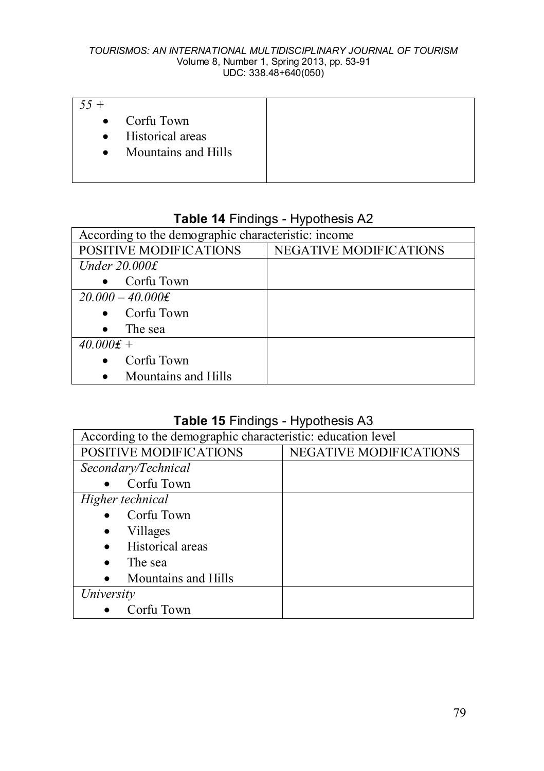| $.55 +$ |                       |  |
|---------|-----------------------|--|
|         | $\bullet$ Corfu Town  |  |
|         | • Historical areas    |  |
|         | • Mountains and Hills |  |
|         |                       |  |

# **Table 14** Findings - Hypothesis Α2

| According to the demographic characteristic: income |                               |  |  |  |  |  |
|-----------------------------------------------------|-------------------------------|--|--|--|--|--|
| POSITIVE MODIFICATIONS                              | <b>NEGATIVE MODIFICATIONS</b> |  |  |  |  |  |
| Under $20.000f$                                     |                               |  |  |  |  |  |
| Corfu Town                                          |                               |  |  |  |  |  |
| $20,000 - 40,000$ £                                 |                               |  |  |  |  |  |
| Corfu Town                                          |                               |  |  |  |  |  |
| The sea<br>$\bullet$                                |                               |  |  |  |  |  |
| $40.000f +$                                         |                               |  |  |  |  |  |
| Corfu Town<br>$\bullet$                             |                               |  |  |  |  |  |
| Mountains and Hills                                 |                               |  |  |  |  |  |

# **Table 15** Findings - Hypothesis Α3

| According to the demographic characteristic: education level |                               |  |  |  |  |  |
|--------------------------------------------------------------|-------------------------------|--|--|--|--|--|
| POSITIVE MODIFICATIONS                                       | <b>NEGATIVE MODIFICATIONS</b> |  |  |  |  |  |
| Secondary/Technical                                          |                               |  |  |  |  |  |
| Corfu Town                                                   |                               |  |  |  |  |  |
| Higher technical                                             |                               |  |  |  |  |  |
| Corfu Town                                                   |                               |  |  |  |  |  |
| Villages                                                     |                               |  |  |  |  |  |
| Historical areas                                             |                               |  |  |  |  |  |
| The sea                                                      |                               |  |  |  |  |  |
| Mountains and Hills                                          |                               |  |  |  |  |  |
| University                                                   |                               |  |  |  |  |  |
| Corfu Town                                                   |                               |  |  |  |  |  |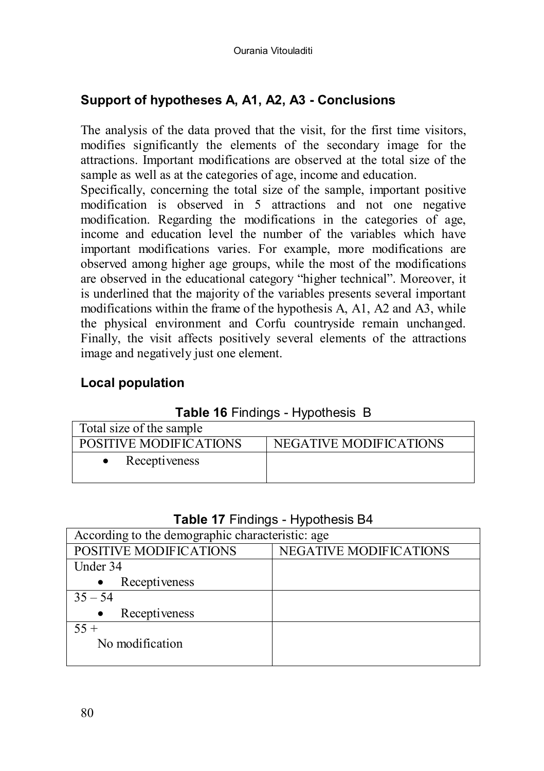# **Support of hypotheses A, A1, A2, A3 - Conclusions**

The analysis of the data proved that the visit, for the first time visitors, modifies significantly the elements of the secondary image for the attractions. Important modifications are observed at the total size of the sample as well as at the categories of age, income and education.

Specifically, concerning the total size of the sample, important positive modification is observed in 5 attractions and not one negative modification. Regarding the modifications in the categories of age, income and education level the number of the variables which have important modifications varies. For example, more modifications are observed among higher age groups, while the most of the modifications are observed in the educational category "higher technical". Moreover, it is underlined that the majority of the variables presents several important modifications within the frame of the hypothesis A, A1, A2 and A3, while the physical environment and Corfu countryside remain unchanged. Finally, the visit affects positively several elements of the attractions image and negatively just one element.

# **Local population**

|  |  | Table 16 Findings - Hypothesis B |  |
|--|--|----------------------------------|--|
|--|--|----------------------------------|--|

| Total size of the sample |                        |  |  |  |  |  |  |  |
|--------------------------|------------------------|--|--|--|--|--|--|--|
| POSITIVE MODIFICATIONS   | NEGATIVE MODIFICATIONS |  |  |  |  |  |  |  |
| Receptiveness            |                        |  |  |  |  |  |  |  |

### **Table 17** Findings - Hypothesis Β4

| According to the demographic characteristic: age |                               |  |  |  |  |  |  |
|--------------------------------------------------|-------------------------------|--|--|--|--|--|--|
| POSITIVE MODIFICATIONS                           | <b>NEGATIVE MODIFICATIONS</b> |  |  |  |  |  |  |
| Under 34                                         |                               |  |  |  |  |  |  |
| Receptiveness                                    |                               |  |  |  |  |  |  |
| $35 - 54$                                        |                               |  |  |  |  |  |  |
| Receptiveness                                    |                               |  |  |  |  |  |  |
| $55 +$                                           |                               |  |  |  |  |  |  |
| No modification                                  |                               |  |  |  |  |  |  |
|                                                  |                               |  |  |  |  |  |  |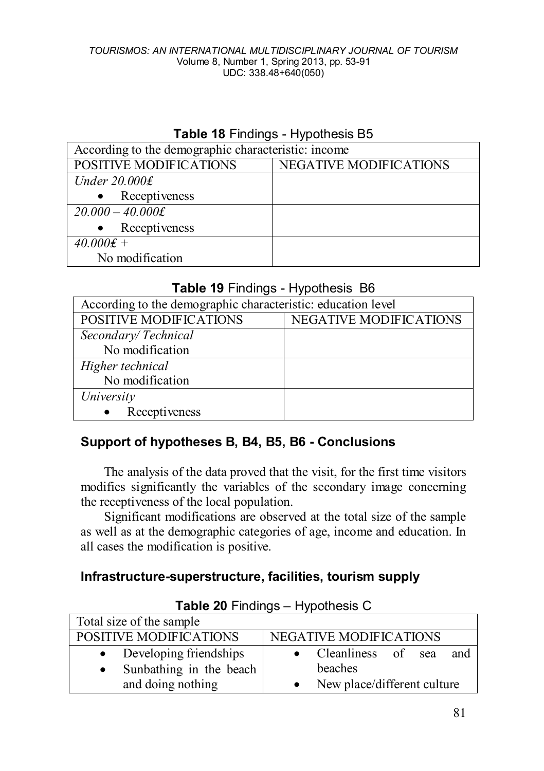### **Table 18** Findings - Hypothesis Β5

| According to the demographic characteristic: income |                               |  |  |  |  |  |  |
|-----------------------------------------------------|-------------------------------|--|--|--|--|--|--|
| POSITIVE MODIFICATIONS                              | <b>NEGATIVE MODIFICATIONS</b> |  |  |  |  |  |  |
| Under $20.000f$                                     |                               |  |  |  |  |  |  |
| • Receptiveness                                     |                               |  |  |  |  |  |  |
| $20.000 - 40.000$ £                                 |                               |  |  |  |  |  |  |
| Receptiveness                                       |                               |  |  |  |  |  |  |
| $40.000 \text{£} +$                                 |                               |  |  |  |  |  |  |
| No modification                                     |                               |  |  |  |  |  |  |

## **Table 19** Findings - Hypothesis Β6

| According to the demographic characteristic: education level |                               |  |
|--------------------------------------------------------------|-------------------------------|--|
| POSITIVE MODIFICATIONS                                       | <b>NEGATIVE MODIFICATIONS</b> |  |
| Secondary/Technical                                          |                               |  |
| No modification                                              |                               |  |
| Higher technical                                             |                               |  |
| No modification                                              |                               |  |
| University                                                   |                               |  |
| Receptiveness                                                |                               |  |

## **Support of hypotheses B, B4, B5, B6 - Conclusions**

The analysis of the data proved that the visit, for the first time visitors modifies significantly the variables of the secondary image concerning the receptiveness of the local population.

Significant modifications are observed at the total size of the sample as well as at the demographic categories of age, income and education. In all cases the modification is positive.

## **Infrastructure-superstructure, facilities, tourism supply**

| $14000$ $201100000$ $11900000000$ |                               |  |
|-----------------------------------|-------------------------------|--|
| Total size of the sample          |                               |  |
| POSITIVE MODIFICATIONS            | <b>NEGATIVE MODIFICATIONS</b> |  |
| Developing friendships            | Cleanliness of sea<br>and     |  |
| Sunbathing in the beach           | beaches                       |  |
| and doing nothing                 | New place/different culture   |  |

# **Table 20** Findings – Hypothesis C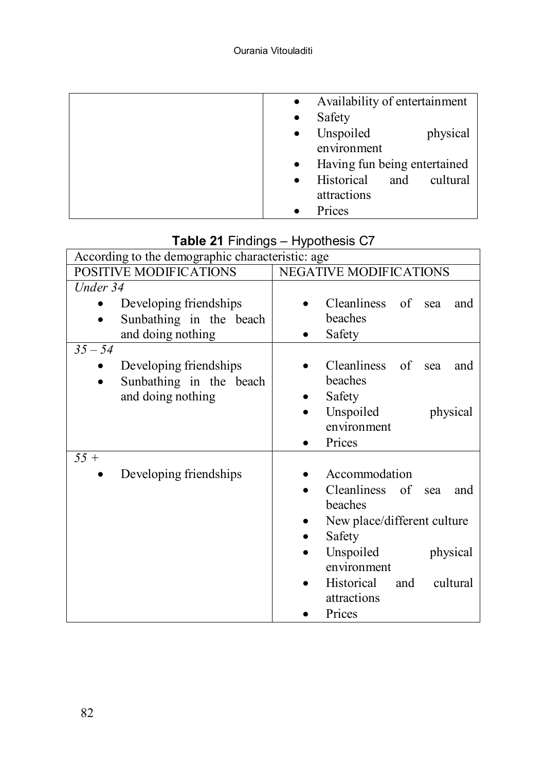| Availability of entertainment<br>$\bullet$ |
|--------------------------------------------|
| Safety<br>$\bullet$                        |
| Unspoiled<br>physical<br>$\bullet$         |
| environment                                |
| Having fun being entertained<br>$\bullet$  |
| Historical<br>cultural<br>and<br>$\bullet$ |
| attractions                                |
| Prices                                     |

| ╯<br>According to the demographic characteristic: age                               |                                                                                                                                                                                                  |
|-------------------------------------------------------------------------------------|--------------------------------------------------------------------------------------------------------------------------------------------------------------------------------------------------|
| POSITIVE MODIFICATIONS                                                              | NEGATIVE MODIFICATIONS                                                                                                                                                                           |
| Under 34                                                                            |                                                                                                                                                                                                  |
| Developing friendships<br>Sunbathing in the beach                                   | Cleanliness of<br>sea<br>and<br>beaches                                                                                                                                                          |
| and doing nothing                                                                   | Safety                                                                                                                                                                                           |
| $35 - 54$                                                                           |                                                                                                                                                                                                  |
| Developing friendships<br>Sunbathing in the beach<br>$\bullet$<br>and doing nothing | Cleanliness<br>of<br>sea<br>and<br>beaches<br>Safety                                                                                                                                             |
|                                                                                     | Unspoiled<br>physical<br>environment<br>Prices                                                                                                                                                   |
| $55 +$<br>Developing friendships                                                    | Accommodation<br>Cleanliness of sea<br>and<br>beaches<br>New place/different culture<br>Safety<br>Unspoiled<br>physical<br>environment<br>Historical<br>cultural<br>and<br>attractions<br>Prices |

# **Table 21** Findings – Hypothesis C7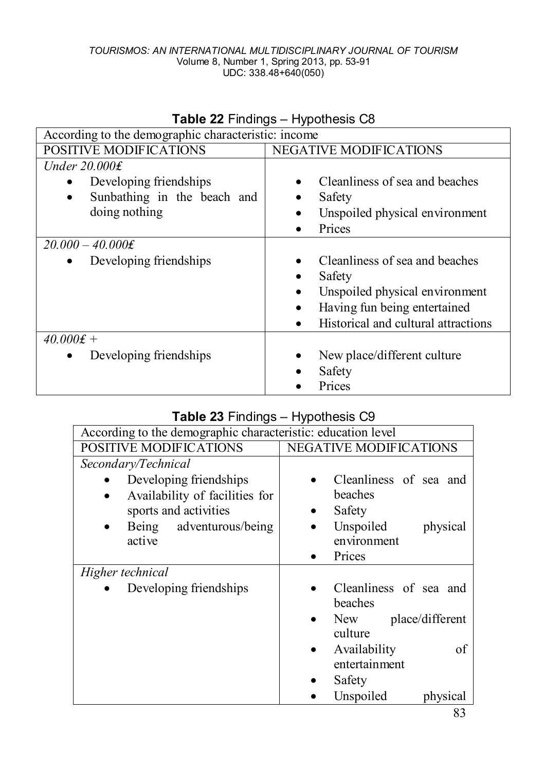|                                                     | $14000 = 11101190$                          |
|-----------------------------------------------------|---------------------------------------------|
| According to the demographic characteristic: income |                                             |
| POSITIVE MODIFICATIONS                              | NEGATIVE MODIFICATIONS                      |
| Under $20.000f$                                     |                                             |
| Developing friendships<br>$\bullet$                 | Cleanliness of sea and beaches              |
| Sunbathing in the beach and<br>$\bullet$            | Safety<br>٠                                 |
| doing nothing                                       | Unspoiled physical environment<br>٠         |
|                                                     | Prices                                      |
| $20.000 - 40.000$ £                                 |                                             |
| Developing friendships<br>$\bullet$                 | Cleanliness of sea and beaches              |
|                                                     | Safety<br>٠                                 |
|                                                     | Unspoiled physical environment<br>$\bullet$ |
|                                                     | Having fun being entertained<br>٠           |
|                                                     | Historical and cultural attractions         |
| $40.000 \text{£} +$                                 |                                             |
| Developing friendships<br>٠                         | New place/different culture<br>٠            |
|                                                     | Safety                                      |
|                                                     | Prices                                      |

## **Table 22** Findings – Hypothesis C8

# **Table 23** Findings – Hypothesis C9

| ╯<br>According to the demographic characteristic: education level |                               |
|-------------------------------------------------------------------|-------------------------------|
| POSITIVE MODIFICATIONS                                            | <b>NEGATIVE MODIFICATIONS</b> |
| Secondary/Technical                                               |                               |
| Developing friendships                                            | Cleanliness of sea and        |
| Availability of facilities for                                    | beaches                       |
| sports and activities                                             | Safety                        |
| Being adventurous/being<br>$\bullet$                              | Unspoiled<br>physical         |
| active                                                            | environment                   |
|                                                                   | Prices                        |
| Higher technical                                                  |                               |
| Developing friendships                                            | Cleanliness of sea and        |
|                                                                   | beaches                       |
|                                                                   | place/different<br>New        |
|                                                                   | culture                       |
|                                                                   | Availability<br>of            |
|                                                                   | entertainment                 |
|                                                                   | Safety                        |
|                                                                   | Unspoiled<br>physical         |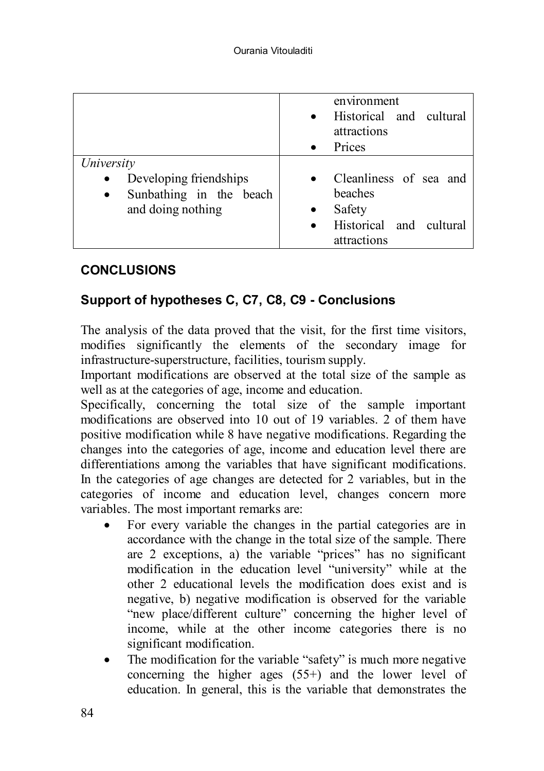|                                                                                                                | environment<br>Historical and cultural<br>$\bullet$<br>attractions<br>Prices<br>$\bullet$                       |
|----------------------------------------------------------------------------------------------------------------|-----------------------------------------------------------------------------------------------------------------|
| University<br>Developing friendships<br>$\bullet$<br>Sunbathing in the beach<br>$\bullet$<br>and doing nothing | Cleanliness of sea and<br>$\bullet$<br>beaches<br>Safety<br>Historical and cultural<br>$\bullet$<br>attractions |

# **CONCLUSIONS**

# **Support of hypotheses C, C7, C8, C9 - Conclusions**

The analysis of the data proved that the visit, for the first time visitors, modifies significantly the elements of the secondary image for infrastructure-superstructure, facilities, tourism supply.

Important modifications are observed at the total size of the sample as well as at the categories of age, income and education.

Specifically, concerning the total size of the sample important modifications are observed into 10 out of 19 variables. 2 of them have positive modification while 8 have negative modifications. Regarding the changes into the categories of age, income and education level there are differentiations among the variables that have significant modifications. In the categories of age changes are detected for 2 variables, but in the categories of income and education level, changes concern more variables. The most important remarks are:

- For every variable the changes in the partial categories are in accordance with the change in the total size of the sample. There are 2 exceptions, a) the variable "prices" has no significant modification in the education level "university" while at the other 2 educational levels the modification does exist and is negative, b) negative modification is observed for the variable "new place/different culture" concerning the higher level of income, while at the other income categories there is no significant modification.
- The modification for the variable "safety" is much more negative concerning the higher ages (55+) and the lower level of education. In general, this is the variable that demonstrates the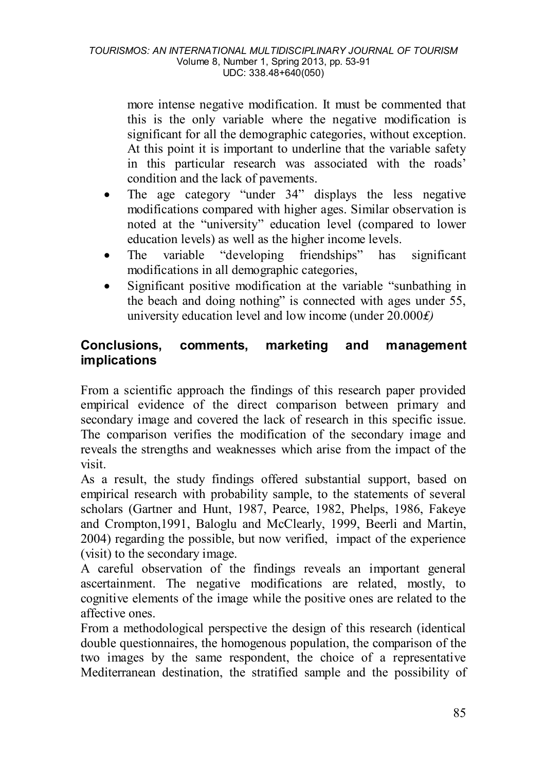more intense negative modification. It must be commented that this is the only variable where the negative modification is significant for all the demographic categories, without exception. At this point it is important to underline that the variable safety in this particular research was associated with the roads' condition and the lack of pavements.

- The age category "under 34" displays the less negative modifications compared with higher ages. Similar observation is noted at the "university" education level (compared to lower education levels) as well as the higher income levels.
- The variable "developing friendships" has significant modifications in all demographic categories,
- Significant positive modification at the variable "sunbathing in the beach and doing nothing" is connected with ages under 55, university education level and low income (under 20.000*₤)*

# **Conclusions, comments, marketing and management implications**

From a scientific approach the findings of this research paper provided empirical evidence of the direct comparison between primary and secondary image and covered the lack of research in this specific issue. The comparison verifies the modification of the secondary image and reveals the strengths and weaknesses which arise from the impact of the visit.

As a result, the study findings offered substantial support, based on empirical research with probability sample, to the statements of several scholars (Gartner and Hunt, 1987, Pearce, 1982, Phelps, 1986, Fakeye and Crompton,1991, Baloglu and McClearly, 1999, Beerli and Martin, 2004) regarding the possible, but now verified, impact of the experience (visit) to the secondary image.

A careful observation of the findings reveals an important general ascertainment. The negative modifications are related, mostly, to cognitive elements of the image while the positive ones are related to the affective ones.

From a methodological perspective the design of this research (identical double questionnaires, the homogenous population, the comparison of the two images by the same respondent, the choice of a representative Mediterranean destination, the stratified sample and the possibility of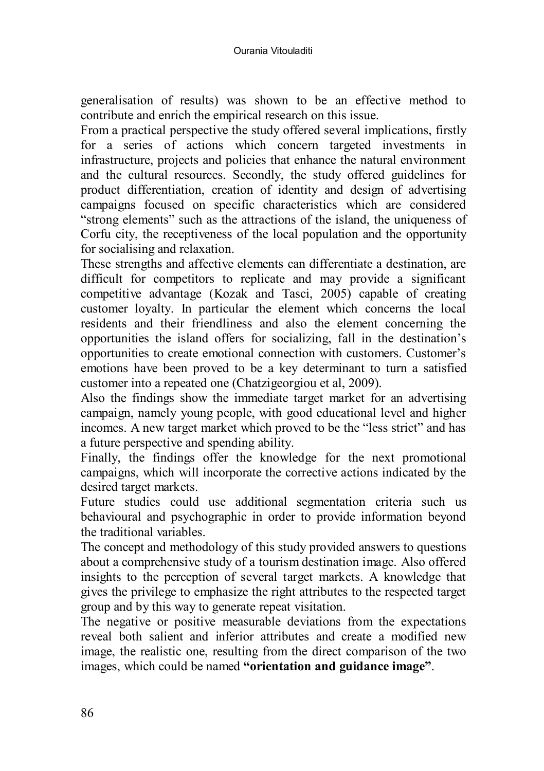generalisation of results) was shown to be an effective method to contribute and enrich the empirical research on this issue.

From a practical perspective the study offered several implications, firstly for a series of actions which concern targeted investments in infrastructure, projects and policies that enhance the natural environment and the cultural resources. Secondly, the study offered guidelines for product differentiation, creation of identity and design of advertising campaigns focused on specific characteristics which are considered "strong elements" such as the attractions of the island, the uniqueness of Corfu city, the receptiveness of the local population and the opportunity for socialising and relaxation.

These strengths and affective elements can differentiate a destination, are difficult for competitors to replicate and may provide a significant competitive advantage (Kozak and Tasci, 2005) capable of creating customer loyalty. In particular the element which concerns the local residents and their friendliness and also the element concerning the opportunities the island offers for socializing, fall in the destination's opportunities to create emotional connection with customers. Customer's emotions have been proved to be a key determinant to turn a satisfied customer into a repeated one (Chatzigeorgiou et al, 2009).

Also the findings show the immediate target market for an advertising campaign, namely young people, with good educational level and higher incomes. A new target market which proved to be the "less strict" and has a future perspective and spending ability.

Finally, the findings offer the knowledge for the next promotional campaigns, which will incorporate the corrective actions indicated by the desired target markets.

Future studies could use additional segmentation criteria such us behavioural and psychographic in order to provide information beyond the traditional variables.

The concept and methodology of this study provided answers to questions about a comprehensive study of a tourism destination image. Also offered insights to the perception of several target markets. A knowledge that gives the privilege to emphasize the right attributes to the respected target group and by this way to generate repeat visitation.

The negative or positive measurable deviations from the expectations reveal both salient and inferior attributes and create a modified new image, the realistic one, resulting from the direct comparison of the two images, which could be named **"orientation and guidance image"**.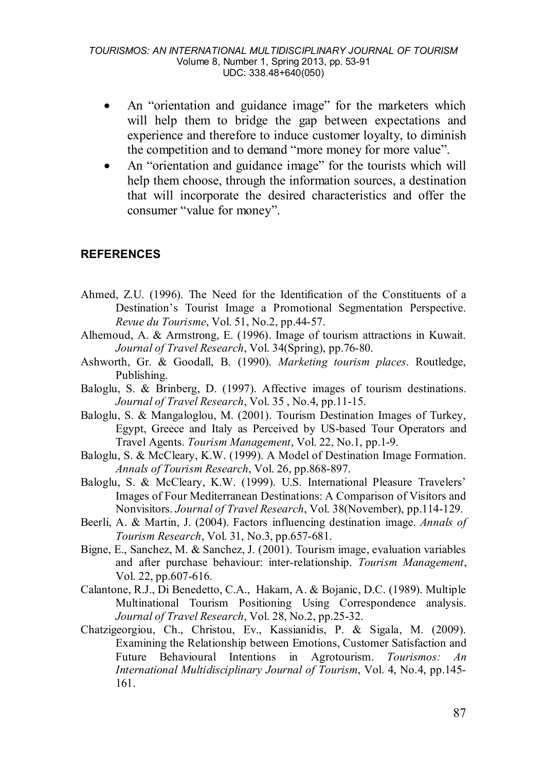- An "orientation and guidance image" for the marketers which will help them to bridge the gap between expectations and experience and therefore to induce customer loyalty, to diminish the competition and to demand "more money for more value".
- An "orientation and guidance image" for the tourists which will help them choose, through the information sources, a destination that will incorporate the desired characteristics and offer the consumer "value for money".

### **REFERENCES**

- Ahmed, Z.U. (1996). The Need for the Identification of the Constituents of a Destination's Tourist Image a Promotional Segmentation Perspective. *Revue du Tourisme*, Vol. 51, No.2, pp.44-57.
- Alhemoud, A. & Armstrong, E. (1996). Image of tourism attractions in Kuwait. *Journal of Travel Research*, Vol. 34(Spring), pp.76-80.
- Ashworth, Gr. & Goodall, B. (1990). *Marketing tourism places*. Routledge, Publishing.
- [Baloglu,](http://www.sciencedirect.com/science?_ob=ArticleURL&_aset=V-WA-A-W-ZZ-MsSAYWW-UUA-U-AAAWZEDBCZ-AAAUWDYACZ-EZBZWDUEZ-ZZ-U&_rdoc=26&_fmt=full&_udi=B6V9R-40P8PK1-1&_coverDate=02%2F28%2F2001&_cdi=5905&_orig=search&_st=13&_sort=d&view=c&_acct=C000059634&_version=1&_urlVersion=0&_userid=109812&md5=3546166b4f0cd092ecf46856a17949b2#bbib25#bbib25) S. & Brinberg, D. (1997). Affective images of tourism destinations. *Journal of Travel Research*, Vol. 35 , No.4, pp.11-15.
- Baloglu, S. & Mangaloglou, M. (2001). Tourism Destination Images of Turkey, Egypt, Greece and Italy as Perceived by US-based Tour Operators and Travel Agents. *Tourism Management*, Vol. 22, No.1, pp.1-9.
- Baloglu, S. & McCleary, K.W. (1999). A Model of Destination Image Formation. *Annals of Tourism Research*, Vol. 26, pp.868-897.
- Baloglu, S. & McCleary, K.W. (1999). U.S. International Pleasure Travelers' Images of Four Mediterranean Destinations: A Comparison of Visitors and Nonvisitors. *Journal of Travel Research*, Vol. 38(November), pp.114-129.
- Beerli, A. & Martin, J. (2004). Factors influencing destination image. *Annals of Tourism Research*, Vol. 31, No.3, pp.657-681.
- Bigne, E., Sanchez, M. & Sanchez, J. (2001). Tourism image, evaluation variables and after purchase behaviour: inter-relationship. *Tourism Management*, Vol. 22, pp.607-616.
- Calantone, R.J., Di Benedetto, C.A., Hakam, A. & Bojanic, D.C. (1989). Multiple Multinational Tourism Positioning Using Correspondence analysis. *Journal of Travel Research*, Vol. 28, No.2, pp.25-32.
- Chatzigeorgiou, Ch., Christou, Ev., Kassianidis, P. & Sigala, M. (2009). Examining the Relationship between Emotions, Customer Satisfaction and Future Behavioural Intentions in Agrotourism. Tourismos: An Future Behavioural Intentions in Agrotourism. *Tourismos: An International Multidisciplinary Journal of Tourism*, Vol. 4, No.4, pp.145- 161.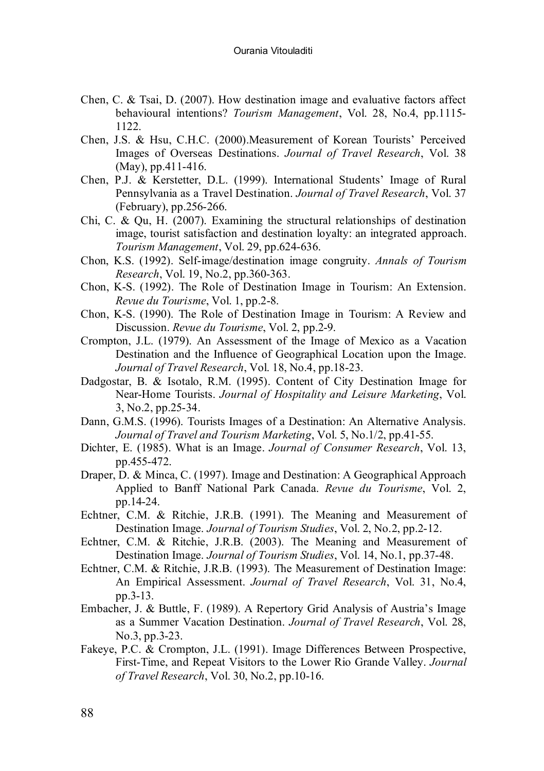- Chen, C. & Tsai, D. (2007). How destination image and evaluative factors affect behavioural intentions? *Tourism Management*, Vol. 28, No.4, pp.1115- 1122.
- Chen, J.S. & Hsu, C.H.C. (2000).Measurement of Korean Tourists' Perceived Images of Overseas Destinations. *Journal of Travel Research*, Vol. 38 (May), pp.411-416.
- Chen, P.J. & Kerstetter, D.L. (1999). International Students' Image of Rural Pennsylvania as a Travel Destination. *Journal of Travel Research*, Vol. 37 (February), pp.256-266.
- Chi, C. & Qu. H.  $(2007)$ . Examining the structural relationships of destination image, tourist satisfaction and destination loyalty: an integrated approach. *Tourism Management*, Vol. 29, pp.624-636.
- [Chon,](http://www.sciencedirect.com.ez.statsbiblioteket.dk:2048/science?_ob=ArticleURL&_aset=V-WA-A-W-W-MsSAYVA-UUW-U-AABBYAEVBB-AABAVUUWBB-VCCUAYVAD-W-U&_rdoc=1&_fmt=full&_udi=B6V9R-3Y3Y011-B&_coverDate=02%2F29%2F2000&_cdi=5905&_orig=search&_st=13&_sort=d&view=c&_acct=C000034578&_version=1&_urlVersion=0&_userid=642076&md5=0345ca3cf8f17545d15ad24ceb961f66#bbib22) K.S. (1992). Self-image/destination image congruity. *Annals of Tourism Research*, Vol. 19, No.2, pp.360-363.
- Chon, K-S. (1992). The Role of Destination Image in Tourism: An Extension. *Revue du Tourisme*, Vol. 1, pp.2-8.
- Chon, K-S. (1990). The Role of Destination Image in Tourism: A Review and Discussion. *Revue du Tourisme*, Vol. 2, pp.2-9.
- Crompton, J.L. (1979). An Assessment of the Image of Mexico as a Vacation Destination and the Influence of Geographical Location upon the Image. *Journal of Travel Research*, Vol. 18, No.4, pp.18-23.
- Dadgostar, B. & Isotalo, R.M. (1995). Content of City Destination Image for Near-Home Tourists. *Journal of Hospitality and Leisure Marketing*, Vol. 3, No.2, pp.25-34.
- Dann, G.M.S. (1996). Tourists Images of a Destination: An Alternative Analysis. *Journal of Travel and Tourism Marketing*, Vol. 5, No.1/2, pp.41-55.
- Dichter, E. (1985). What is an Image. *Journal of Consumer Research*, Vol. 13, pp.455-472.
- Draper, D. & Minca, C. (1997). Image and Destination: A Geographical Approach Applied to Banff National Park Canada. *Revue du Tourisme*, Vol. 2, pp.14-24.
- Echtner, C.M. & Ritchie, J.R.B. (1991). The Meaning and Measurement of Destination Image. *Journal of Tourism Studies*, Vol. 2, No.2, pp.2-12.
- Echtner, C.M. & Ritchie, J.R.B. (2003). The Meaning and Measurement of Destination Image. *Journal of Tourism Studies*, Vol. 14, No.1, pp.37-48.
- Echtner, C.M. & Ritchie, J.R.B. (1993). The Measurement of Destination Image: An Empirical Assessment. *Journal of Travel Research*, Vol. 31, No.4, pp.3-13.
- Embacher, J. & Buttle, F. (1989). A Repertory Grid Analysis of Austria's Image as a Summer Vacation Destination. *Journal of Travel Research*, Vol. 28, No.3, pp.3-23.
- Fakeye, P.C. & Crompton, J.L. (1991). Image Differences Between Prospective, First-Time, and Repeat Visitors to the Lower Rio Grande Valley. *Journal of Travel Research*, Vol. 30, No.2, pp.10-16.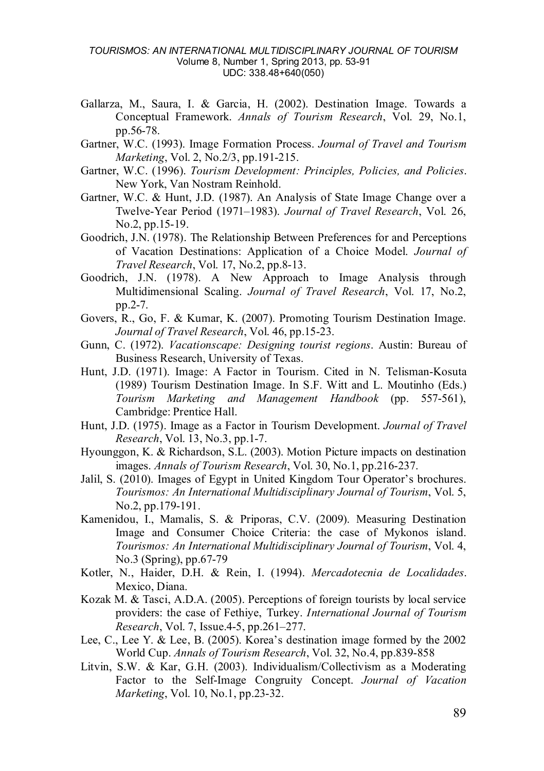- Gallarza, M., Saura, I. & Garcia, H. (2002). Destination Image. Towards a Conceptual Framework. *Annals of Tourism Research*, Vol. 29, No.1, pp.56-78.
- Gartner, W.C. (1993). Image Formation Process. *Journal of Travel and Tourism Marketing*, Vol. 2, No.2/3, pp.191-215.
- Gartner, W.C. (1996). *Tourism Development: Principles, Policies, and Policies*. New York, Van Nostram Reinhold.
- Gartner, W.C. & Hunt, J.D. (1987). An Analysis of State Image Change over a Twelve-Year Period (1971–1983). *Journal of Travel Research*, Vol. 26, No.2, pp.15-19.
- Goodrich, J.N. (1978). The Relationship Between Preferences for and Perceptions of Vacation Destinations: Application of a Choice Model. *Journal of Travel Research*, Vol. 17, No.2, pp.8-13.
- Goodrich, J.N. (1978). A New Approach to Image Analysis through Multidimensional Scaling. *Journal of Travel Research*, Vol. 17, No.2, pp.2-7.
- Govers, R., Go, F. & Kumar, K. (2007). Promoting Tourism Destination Image. *Journal of Travel Research*, Vol. 46, pp.15-23.
- [Gunn,](http://www.sciencedirect.com/science?_ob=ArticleURL&_aset=V-WA-A-W-ZZ-MsSAYWW-UUA-U-AAAWZEDBCZ-AAAUWDYACZ-EZBZWDUEZ-ZZ-U&_rdoc=26&_fmt=full&_udi=B6V9R-40P8PK1-1&_coverDate=02%2F28%2F2001&_cdi=5905&_orig=search&_st=13&_sort=d&view=c&_acct=C000059634&_version=1&_urlVersion=0&_userid=109812&md5=3546166b4f0cd092ecf46856a17949b2#bbib11#bbib11) C. (1972). *Vacationscape: Designing tourist regions*. Austin: Bureau of Business Research, University of Texas.
- Hunt, J.D. (1971). Image: A Factor in Tourism. Cited in N. Telisman-Kosuta (1989) Tourism Destination Image. In S.F. Witt and L. Moutinho (Eds.) *Tourism Marketing and Management Handbook* (pp. 557-561), Cambridge: Prentice Hall.
- Hunt, J.D. (1975). Image as a Factor in Tourism Development. *Journal of Travel Research*, Vol. 13, No.3, pp.1-7.
- Hyounggon, K. & Richardson, S.L. (2003). Motion Picture impacts on destination images. *Annals of Tourism Research*, Vol. 30, No.1, pp.216-237.
- Jalil, S. (2010). Images of Egypt in United Kingdom Tour Operator's brochures. *Tourismos: An International Multidisciplinary Journal of Tourism*, Vol. 5, No.2, pp.179-191.
- Kamenidou, I., Mamalis, S. & Priporas, C.V. (2009). Measuring Destination Image and Consumer Choice Criteria: the case of Mykonos island. *Tourismos: An International Multidisciplinary Journal of Tourism*, Vol. 4, No.3 (Spring), pp.67-79
- Kotler, N., Haider, D.H. & Rein, I. (1994). *Mercadotecnia de Localidades*. Mexico, Diana.
- Kozak M. & Tasci, A.D.A. (2005). Perceptions of foreign tourists by local service providers: the case of Fethiye, Turkey. *International Journal of Tourism Research*, Vol. 7, Issue.4-5, pp.261–277.
- Lee, C., Lee Y. & Lee, B. (2005). Korea's destination image formed by the 2002 World Cup. *Annals of Tourism Research*, Vol. 32, No.4, pp.839-858
- Litvin, S.W. & Kar, G.H. (2003). Individualism/Collectivism as a Moderating Factor to the Self-Image Congruity Concept. *Journal of Vacation Marketing*, Vol. 10, No.1, pp.23-32.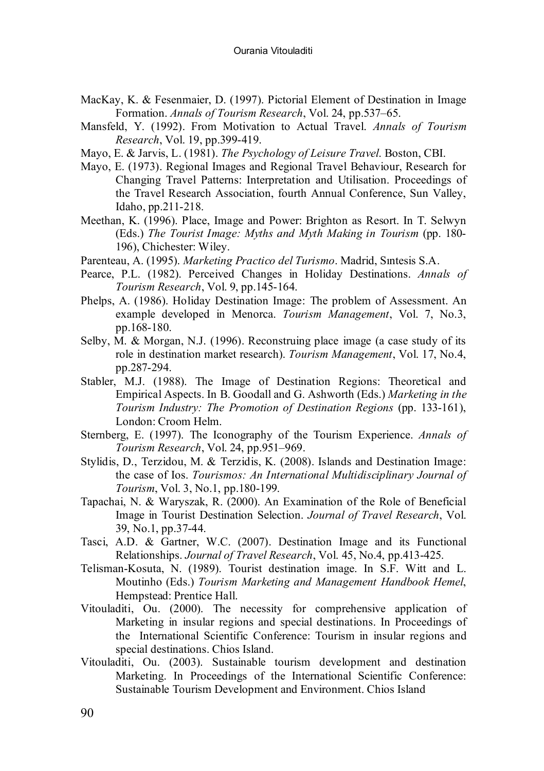- MacKay, K. & Fesenmaier, D. (1997). Pictorial Element of Destination in Image Formation. *Annals of Tourism Research*, Vol. 24, pp.537–65.
- Mansfeld, Y. (1992). From Motivation to Actual Travel. *Annals of Tourism Research*, Vol. 19, pp.399-419.
- Mayo, E. & Jarvis, L. (1981). *The Psychology of Leisure Travel*. Boston, CBI.
- Mayo, E. (1973). Regional Images and Regional Travel Behaviour, Research for Changing Travel Patterns: Interpretation and Utilisation. Proceedings of the Travel Research Association, fourth Annual Conference, Sun Valley, Idaho, pp.211-218.
- Meethan, K. (1996). Place, Image and Power: Brighton as Resort. In T. Selwyn (Eds.) *The Tourist Image: Myths and Myth Making in Tourism* (pp. 180- 196), Chichester: Wiley.
- Parenteau, A. (1995). *Marketing Practico del Turismo*. Madrid, Sıntesis S.A.
- Pearce, P.L. (1982). Perceived Changes in Holiday Destinations. *Annals of Tourism Research*, Vol. 9, pp.145-164.
- Phelps, A. (1986). Holiday Destination Image: The problem of Assessment. An example developed in Menorca. *Tourism Management*, Vol. 7, No.3, pp.168-180.
- Selby, M. & Morgan, N.J. (1996). Reconstruing place image (a case study of its role in destination market research). *Tourism Management*, Vol. 17, No.4, pp.287-294.
- Stabler, M.J. (1988). The Image of Destination Regions: Theoretical and Empirical Aspects. In B. Goodall and G. Ashworth (Eds.) *Marketing in the Tourism Industry: The Promotion of Destination Regions* (pp. 133-161), London: Croom Helm.
- Sternberg, E. (1997). The Iconography of the Tourism Experience. *Annals of Tourism Research*, Vol. 24, pp.951–969.
- Stylidis, D., Terzidou, M. & Terzidis, K. (2008). Islands and Destination Image: the case of Ios. *Tourismos: An International Multidisciplinary Journal of Tourism*, Vol. 3, No.1, pp.180-199.
- Tapachai, N. & Waryszak, R. (2000). An Examination of the Role of Beneficial Image in Tourist Destination Selection. *Journal of Travel Research*, Vol. 39, No.1, pp.37-44.
- Tasci, A.D. & Gartner, W.C. (2007). Destination Image and its Functional Relationships. *Journal of Travel Research*, Vol. 45, No.4, pp.413-425.
- Telisman-Kosuta, N. (1989). Tourist destination image. In S.F. Witt and L. Moutinho (Eds.) *Tourism Marketing and Management Handbook Hemel*, Hempstead: Prentice Hall.
- Vitouladiti, Ou. (2000). The necessity for comprehensive application of Marketing in insular regions and special destinations. In Proceedings of the International Scientific Conference: Tourism in insular regions and special destinations. Chios Island.
- Vitouladiti, Ou. (2003). Sustainable tourism development and destination Marketing. In Proceedings of the International Scientific Conference: Sustainable Tourism Development and Environment. Chios Island